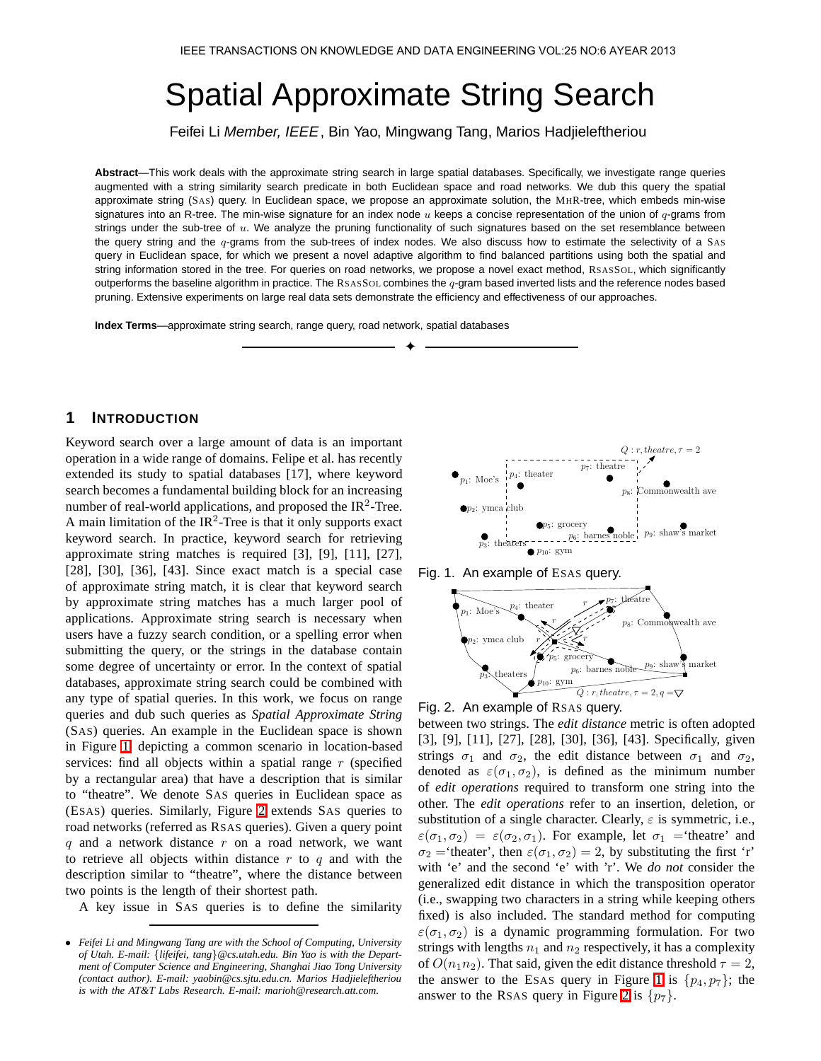## Spatial Approximate String Search

Feifei Li Member, IEEE, Bin Yao, Mingwang Tang, Marios Hadjieleftheriou

**Abstract**—This work deals with the approximate string search in large spatial databases. Specifically, we investigate range queries augmented with a string similarity search predicate in both Euclidean space and road networks. We dub this query the spatial approximate string (SAS) query. In Euclidean space, we propose an approximate solution, the MHR-tree, which embeds min-wise signatures into an R-tree. The min-wise signature for an index node u keeps a concise representation of the union of  $q$ -grams from strings under the sub-tree of  $u$ . We analyze the pruning functionality of such signatures based on the set resemblance between the query string and the  $q$ -grams from the sub-trees of index nodes. We also discuss how to estimate the selectivity of a SAS query in Euclidean space, for which we present a novel adaptive algorithm to find balanced partitions using both the spatial and string information stored in the tree. For queries on road networks, we propose a novel exact method, RSASSOL, which significantly outperforms the baseline algorithm in practice. The RSASSOL combines the q-gram based inverted lists and the reference nodes based pruning. Extensive experiments on large real data sets demonstrate the efficiency and effectiveness of our approaches.

✦

**Index Terms**—approximate string search, range query, road network, spatial databases

## **1 INTRODUCTION**

Keyword search over a large amount of data is an important operation in a wide range of domains. Felipe et al. has recently extended its study to spatial databases [17], where keyword search becomes a fundamental building block for an increasing number of real-world applications, and proposed the  $IR<sup>2</sup>$ -Tree. A main limitation of the IR<sup>2</sup>-Tree is that it only supports exact keyword search. In practice, keyword search for retrieving approximate string matches is required [3], [9], [11], [27], [28], [30], [36], [43]. Since exact match is a special case of approximate string match, it is clear that keyword search by approximate string matches has a much larger pool of applications. Approximate string search is necessary when users have a fuzzy search condition, or a spelling error when submitting the query, or the strings in the database contain some degree of uncertainty or error. In the context of spatial databases, approximate string search could be combined with any type of spatial queries. In this work, we focus on range queries and dub such queries as *Spatial Approximate String* (SAS) queries. An example in the Euclidean space is shown in Figure [1,](#page--1-0) depicting a common scenario in location-based services: find all objects within a spatial range  $r$  (specified by a rectangular area) that have a description that is similar to "theatre". We denote SAS queries in Euclidean space as (ESAS) queries. Similarly, Figure [2](#page--1-1) extends SAS queries to road networks (referred as RSAS queries). Given a query point  $q$  and a network distance  $r$  on a road network, we want to retrieve all objects within distance  $r$  to  $q$  and with the description similar to "theatre", where the distance between two points is the length of their shortest path.

A key issue in SAS queries is to define the similarity



Fig. 1. An example of ESAS query.



## Fig. 2. An example of RSAS query.

between two strings. The *edit distance* metric is often adopted [3], [9], [11], [27], [28], [30], [36], [43]. Specifically, given strings  $\sigma_1$  and  $\sigma_2$ , the edit distance between  $\sigma_1$  and  $\sigma_2$ , denoted as  $\varepsilon(\sigma_1, \sigma_2)$ , is defined as the minimum number of *edit operations* required to transform one string into the other. The *edit operations* refer to an insertion, deletion, or substitution of a single character. Clearly,  $\varepsilon$  is symmetric, i.e.,  $\varepsilon(\sigma_1, \sigma_2) = \varepsilon(\sigma_2, \sigma_1)$ . For example, let  $\sigma_1$  = theatre' and  $\sigma_2$  = theater', then  $\varepsilon(\sigma_1, \sigma_2) = 2$ , by substituting the first 'r' with 'e' and the second 'e' with 'r'. We *do not* consider the generalized edit distance in which the transposition operator (i.e., swapping two characters in a string while keeping others fixed) is also included. The standard method for computing  $\varepsilon(\sigma_1, \sigma_2)$  is a dynamic programming formulation. For two strings with lengths  $n_1$  and  $n_2$  respectively, it has a complexity of  $O(n_1n_2)$ . That said, given the edit distance threshold  $\tau = 2$ , the answer to the ESAS query in Figure [1](#page--1-0) is  $\{p_4, p_7\}$ ; the answer to the RSAS query in Figure [2](#page--1-1) is  $\{p_7\}$ .

<sup>•</sup> *Feifei Li and Mingwang Tang are with the School of Computing, University of Utah. E-mail:* {*lifeifei, tang*}*@cs.utah.edu. Bin Yao is with the Department of Computer Science and Engineering, Shanghai Jiao Tong University (contact author). E-mail: yaobin@cs.sjtu.edu.cn. Marios Hadjieleftheriou is with the AT&T Labs Research. E-mail: marioh@research.att.com.*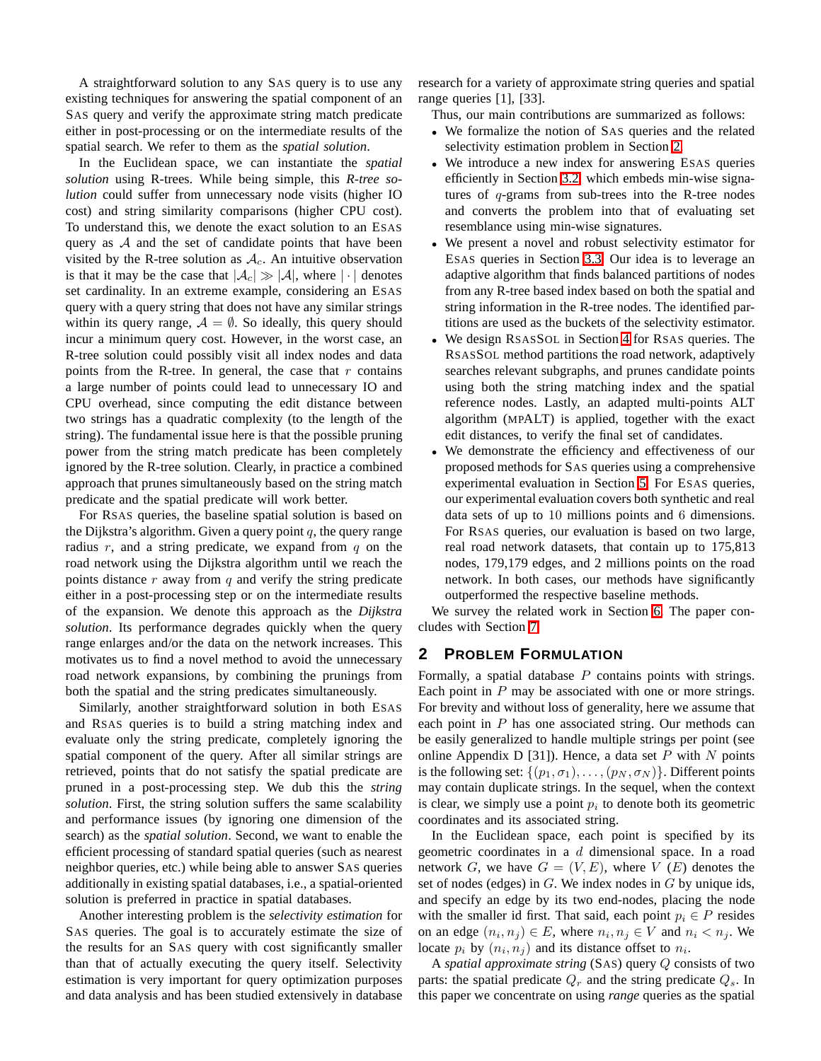A straightforward solution to any SAS query is to use any existing techniques for answering the spatial component of an SAS query and verify the approximate string match predicate either in post-processing or on the intermediate results of the spatial search. We refer to them as the *spatial solution*.

In the Euclidean space, we can instantiate the *spatial solution* using R-trees. While being simple, this *R-tree solution* could suffer from unnecessary node visits (higher IO cost) and string similarity comparisons (higher CPU cost). To understand this, we denote the exact solution to an ESAS query as  $A$  and the set of candidate points that have been visited by the R-tree solution as  $A_c$ . An intuitive observation is that it may be the case that  $|\mathcal{A}_c| \gg |\mathcal{A}|$ , where  $|\cdot|$  denotes set cardinality. In an extreme example, considering an ESAS query with a query string that does not have any similar strings within its query range,  $A = \emptyset$ . So ideally, this query should incur a minimum query cost. However, in the worst case, an R-tree solution could possibly visit all index nodes and data points from the R-tree. In general, the case that  $r$  contains a large number of points could lead to unnecessary IO and CPU overhead, since computing the edit distance between two strings has a quadratic complexity (to the length of the string). The fundamental issue here is that the possible pruning power from the string match predicate has been completely ignored by the R-tree solution. Clearly, in practice a combined approach that prunes simultaneously based on the string match predicate and the spatial predicate will work better.

For RSAS queries, the baseline spatial solution is based on the Dijkstra's algorithm. Given a query point  $q$ , the query range radius r, and a string predicate, we expand from  $q$  on the road network using the Dijkstra algorithm until we reach the points distance  $r$  away from  $q$  and verify the string predicate either in a post-processing step or on the intermediate results of the expansion. We denote this approach as the *Dijkstra solution*. Its performance degrades quickly when the query range enlarges and/or the data on the network increases. This motivates us to find a novel method to avoid the unnecessary road network expansions, by combining the prunings from both the spatial and the string predicates simultaneously.

Similarly, another straightforward solution in both ESAS and RSAS queries is to build a string matching index and evaluate only the string predicate, completely ignoring the spatial component of the query. After all similar strings are retrieved, points that do not satisfy the spatial predicate are pruned in a post-processing step. We dub this the *string solution*. First, the string solution suffers the same scalability and performance issues (by ignoring one dimension of the search) as the *spatial solution*. Second, we want to enable the efficient processing of standard spatial queries (such as nearest neighbor queries, etc.) while being able to answer SAS queries additionally in existing spatial databases, i.e., a spatial-oriented solution is preferred in practice in spatial databases.

Another interesting problem is the *selectivity estimation* for SAS queries. The goal is to accurately estimate the size of the results for an SAS query with cost significantly smaller than that of actually executing the query itself. Selectivity estimation is very important for query optimization purposes and data analysis and has been studied extensively in database

research for a variety of approximate string queries and spatial range queries [1], [33].

Thus, our main contributions are summarized as follows:

- We formalize the notion of SAS queries and the related selectivity estimation problem in Section [2.](#page--1-2)
- We introduce a new index for answering ESAS queries efficiently in Section [3.2,](#page--1-3) which embeds min-wise signatures of  $q$ -grams from sub-trees into the R-tree nodes and converts the problem into that of evaluating set resemblance using min-wise signatures.
- We present a novel and robust selectivity estimator for ESAS queries in Section [3.3.](#page--1-4) Our idea is to leverage an adaptive algorithm that finds balanced partitions of nodes from any R-tree based index based on both the spatial and string information in the R-tree nodes. The identified partitions are used as the buckets of the selectivity estimator.
- We design RSASSOL in Section [4](#page--1-5) for RSAS queries. The RSASSOL method partitions the road network, adaptively searches relevant subgraphs, and prunes candidate points using both the string matching index and the spatial reference nodes. Lastly, an adapted multi-points ALT algorithm (MPALT) is applied, together with the exact edit distances, to verify the final set of candidates.
- We demonstrate the efficiency and effectiveness of our proposed methods for SAS queries using a comprehensive experimental evaluation in Section [5.](#page--1-6) For ESAS queries, our experimental evaluation covers both synthetic and real data sets of up to 10 millions points and 6 dimensions. For RSAS queries, our evaluation is based on two large, real road network datasets, that contain up to 175,813 nodes, 179,179 edges, and 2 millions points on the road network. In both cases, our methods have significantly outperformed the respective baseline methods.

We survey the related work in Section [6.](#page--1-7) The paper concludes with Section [7.](#page--1-8)

## **2 PROBLEM FORMULATION**

Formally, a spatial database  $P$  contains points with strings. Each point in  $P$  may be associated with one or more strings. For brevity and without loss of generality, here we assume that each point in  $P$  has one associated string. Our methods can be easily generalized to handle multiple strings per point (see online Appendix D [31]). Hence, a data set P with N points is the following set:  $\{(p_1, \sigma_1), \ldots, (p_N, \sigma_N)\}\)$ . Different points may contain duplicate strings. In the sequel, when the context is clear, we simply use a point  $p_i$  to denote both its geometric coordinates and its associated string.

In the Euclidean space, each point is specified by its geometric coordinates in a  $d$  dimensional space. In a road network G, we have  $G = (V, E)$ , where V  $(E)$  denotes the set of nodes (edges) in  $G$ . We index nodes in  $G$  by unique ids, and specify an edge by its two end-nodes, placing the node with the smaller id first. That said, each point  $p_i \in P$  resides on an edge  $(n_i, n_j) \in E$ , where  $n_i, n_j \in V$  and  $n_i < n_j$ . We locate  $p_i$  by  $(n_i, n_j)$  and its distance offset to  $n_i$ .

A *spatial approximate string* (SAS) query Q consists of two parts: the spatial predicate  $Q_r$  and the string predicate  $Q_s$ . In this paper we concentrate on using *range* queries as the spatial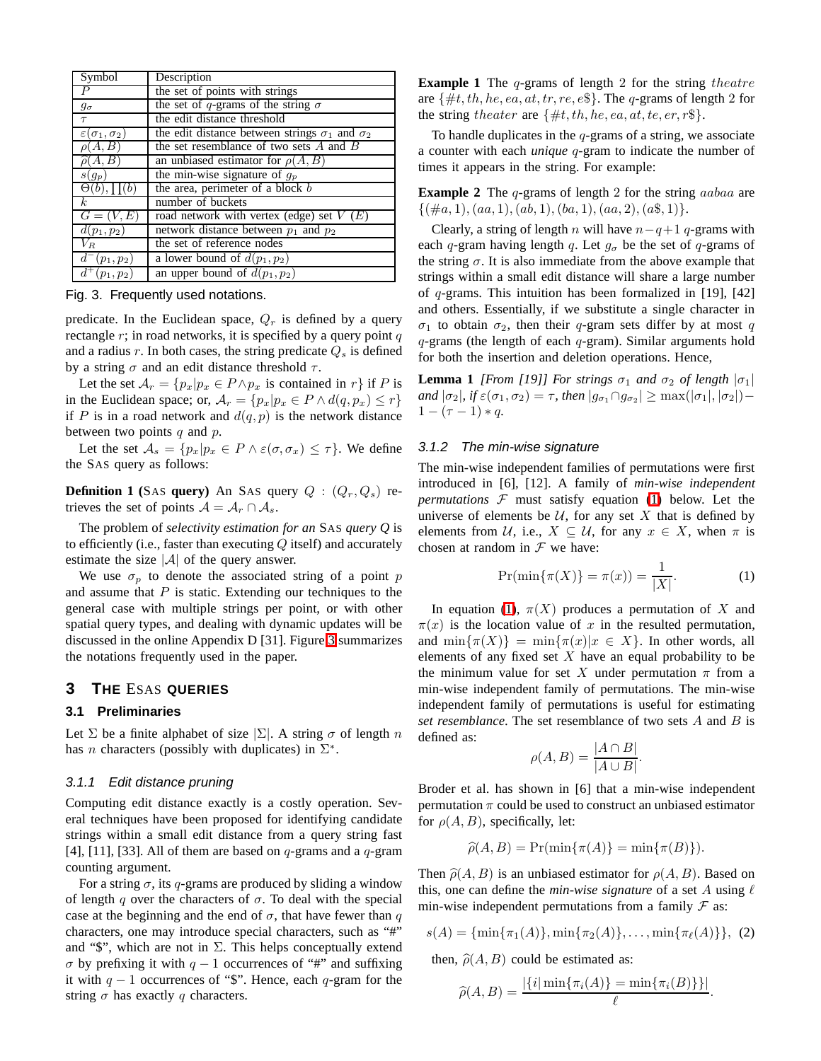| Symbol                           | Description                                                 |
|----------------------------------|-------------------------------------------------------------|
|                                  | the set of points with strings                              |
| $g_{\sigma}$                     | the set of q-grams of the string $\sigma$                   |
| $\tau$                           | the edit distance threshold                                 |
| $\varepsilon(\sigma_1,\sigma_2)$ | the edit distance between strings $\sigma_1$ and $\sigma_2$ |
| $\rho(A, B)$                     | the set resemblance of two sets $A$ and $B$                 |
| $\widehat{\rho}(A,B)$            | an unbiased estimator for $\rho(A, B)$                      |
| $s(g_p)$                         | the min-wise signature of $q_p$                             |
| $\Theta(b), \parallel$           | the area, perimeter of a block $b$                          |
| k <sub>i</sub>                   | number of buckets                                           |
| $G=(V,E)$                        | road network with vertex (edge) set $V(E)$                  |
| $d(p_1, p_2)$                    | network distance between $p_1$ and $p_2$                    |
| $V_R$                            | the set of reference nodes                                  |
| $d^-(p_1,p_2)$                   | a lower bound of $d(p_1, p_2)$                              |
| $d^+(p_1,p_2)$                   | an upper bound of $d(p_1, p_2)$                             |

Fig. 3. Frequently used notations.

predicate. In the Euclidean space,  $Q_r$  is defined by a query rectangle r; in road networks, it is specified by a query point  $q$ and a radius r. In both cases, the string predicate  $Q_s$  is defined by a string  $\sigma$  and an edit distance threshold  $\tau$ .

Let the set  $\mathcal{A}_r = \{p_x | p_x \in P \land p_x \text{ is contained in } r\}$  if P is in the Euclidean space; or,  $\mathcal{A}_r = \{p_x | p_x \in P \land d(q, p_x) \leq r\}$ if P is in a road network and  $d(q, p)$  is the network distance between two points  $q$  and  $p$ .

Let the set  $\mathcal{A}_s = \{p_x | p_x \in P \land \varepsilon(\sigma, \sigma_x) \leq \tau\}$ . We define the SAS query as follows:

**Definition 1 (SAS query)** An SAS query  $Q : (Q_r, Q_s)$  retrieves the set of points  $\mathcal{A} = \mathcal{A}_r \cap \mathcal{A}_s$ .

The problem of *selectivity estimation for an* SAS *query Q* is to efficiently (i.e., faster than executing  $Q$  itself) and accurately estimate the size  $|\mathcal{A}|$  of the query answer.

We use  $\sigma_p$  to denote the associated string of a point p and assume that  $P$  is static. Extending our techniques to the general case with multiple strings per point, or with other spatial query types, and dealing with dynamic updates will be discussed in the online Appendix D [31]. Figure [3](#page--1-9) summarizes the notations frequently used in the paper.

## **3 THE** ESAS **QUERIES**

#### **3.1 Preliminaries**

Let  $\Sigma$  be a finite alphabet of size  $\Sigma$ . A string  $\sigma$  of length n has *n* characters (possibly with duplicates) in  $\Sigma^*$ .

#### 3.1.1 Edit distance pruning

Computing edit distance exactly is a costly operation. Several techniques have been proposed for identifying candidate strings within a small edit distance from a query string fast [4], [11], [33]. All of them are based on  $q$ -grams and a  $q$ -gram counting argument.

For a string  $\sigma$ , its q-grams are produced by sliding a window of length q over the characters of  $\sigma$ . To deal with the special case at the beginning and the end of  $\sigma$ , that have fewer than q characters, one may introduce special characters, such as "#" and "\$", which are not in  $\Sigma$ . This helps conceptually extend  $\sigma$  by prefixing it with  $q - 1$  occurrences of "#" and suffixing it with  $q - 1$  occurrences of "\$". Hence, each q-gram for the string  $\sigma$  has exactly q characters.

**Example 1** The q-grams of length 2 for the string theatre are  $\{\#t, th, he, ea, at, tr, re, e\$ . The q-grams of length 2 for the string theater are  $\{\#t, th, he, ea, at, te, er, r\$ .

To handle duplicates in the  $q$ -grams of a string, we associate a counter with each *unique* q-gram to indicate the number of times it appears in the string. For example:

**Example 2** The q-grams of length 2 for the string *aabaa* are  $\{(\#a, 1), (aa, 1), (ab, 1), (ba, 1), (aa, 2), (a\$, 1)\}.$ 

Clearly, a string of length n will have  $n-q+1$  q-grams with each q-gram having length q. Let  $q_{\sigma}$  be the set of q-grams of the string  $\sigma$ . It is also immediate from the above example that strings within a small edit distance will share a large number of  $q$ -grams. This intuition has been formalized in [19], [42] and others. Essentially, if we substitute a single character in  $\sigma_1$  to obtain  $\sigma_2$ , then their q-gram sets differ by at most q  $q$ -grams (the length of each  $q$ -gram). Similar arguments hold for both the insertion and deletion operations. Hence,

**Lemma 1** *[From [19]] For strings*  $\sigma_1$  *and*  $\sigma_2$  *of length*  $|\sigma_1|$ *and*  $|\sigma_2|$ *, if*  $\varepsilon(\sigma_1, \sigma_2) = \tau$ *, then*  $|g_{\sigma_1} \cap g_{\sigma_2}| \ge \max(|\sigma_1|, |\sigma_2|) - \frac{1}{\sigma_2}$  $1 - (\tau - 1) * q$ .

#### 3.1.2 The min-wise signature

The min-wise independent families of permutations were first introduced in [6], [12]. A family of *min-wise independent permutations*  $F$  must satisfy equation [\(1\)](#page--1-10) below. Let the universe of elements be  $U$ , for any set X that is defined by elements from U, i.e.,  $X \subseteq U$ , for any  $x \in X$ , when  $\pi$  is chosen at random in  $F$  we have:

$$
\Pr(\min\{\pi(X)\} = \pi(x)) = \frac{1}{|X|}.\tag{1}
$$

In equation [\(1\)](#page--1-10),  $\pi(X)$  produces a permutation of X and  $\pi(x)$  is the location value of x in the resulted permutation, and  $\min{\pi(X)} = \min{\pi(x)|x \in X}$ . In other words, all elements of any fixed set  $X$  have an equal probability to be the minimum value for set X under permutation  $\pi$  from a min-wise independent family of permutations. The min-wise independent family of permutations is useful for estimating *set resemblance*. The set resemblance of two sets A and B is defined as:

$$
\rho(A, B) = \frac{|A \cap B|}{|A \cup B|}.
$$

Broder et al. has shown in [6] that a min-wise independent permutation  $\pi$  could be used to construct an unbiased estimator for  $\rho(A, B)$ , specifically, let:

$$
\widehat{\rho}(A,B) = \Pr(\min\{\pi(A)\} = \min\{\pi(B)\}).
$$

Then  $\hat{\rho}(A, B)$  is an unbiased estimator for  $\rho(A, B)$ . Based on this, one can define the *min-wise signature* of a set A using  $\ell$ min-wise independent permutations from a family  $\mathcal F$  as:

$$
s(A) = {\min{\pi_1(A)}, \min{\pi_2(A)}, \dots, \min{\pi_\ell(A)}}, \quad (2)
$$

then,  $\hat{\rho}(A, B)$  could be estimated as:

$$
\widehat{\rho}(A,B) = \frac{|\{i | \min\{\pi_i(A)\} = \min\{\pi_i(B)\}\}|}{\ell}
$$

.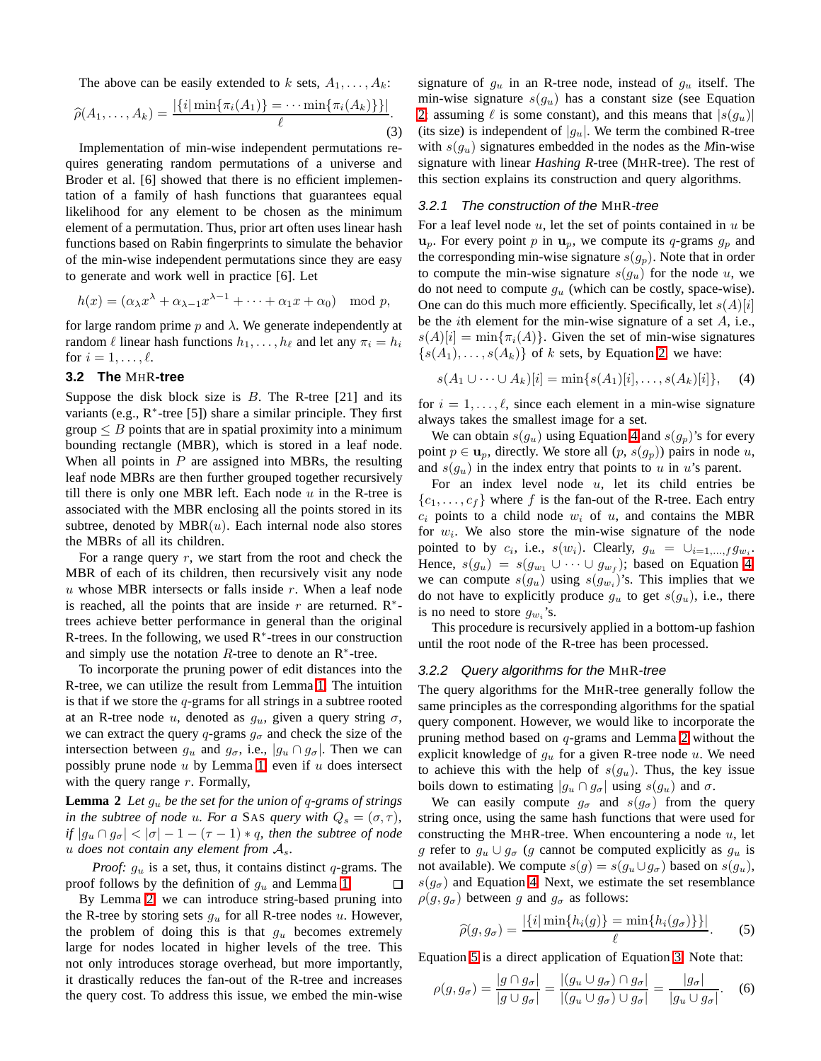The above can be easily extended to k sets,  $A_1, \ldots, A_k$ :

$$
\widehat{\rho}(A_1,\ldots,A_k) = \frac{|\{i|\min\{\pi_i(A_1)\}=\cdots\min\{\pi_i(A_k)\}\}|}{\ell}.
$$
\n(3)

Implementation of min-wise independent permutations requires generating random permutations of a universe and Broder et al. [6] showed that there is no efficient implementation of a family of hash functions that guarantees equal likelihood for any element to be chosen as the minimum element of a permutation. Thus, prior art often uses linear hash functions based on Rabin fingerprints to simulate the behavior of the min-wise independent permutations since they are easy to generate and work well in practice [6]. Let

$$
h(x) = (\alpha_{\lambda} x^{\lambda} + \alpha_{\lambda - 1} x^{\lambda - 1} + \dots + \alpha_1 x + \alpha_0) \mod p,
$$

for large random prime p and  $\lambda$ . We generate independently at random  $\ell$  linear hash functions  $h_1, \ldots, h_\ell$  and let any  $\pi_i = h_i$ for  $i = 1, \ldots, \ell$ .

### **3.2 The** MHR**-tree**

Suppose the disk block size is  $B$ . The R-tree [21] and its variants (e.g., R<sup>\*</sup>-tree [5]) share a similar principle. They first group  $\leq B$  points that are in spatial proximity into a minimum bounding rectangle (MBR), which is stored in a leaf node. When all points in  $P$  are assigned into MBRs, the resulting leaf node MBRs are then further grouped together recursively till there is only one MBR left. Each node  $u$  in the R-tree is associated with the MBR enclosing all the points stored in its subtree, denoted by  $MBR(u)$ . Each internal node also stores the MBRs of all its children.

For a range query  $r$ , we start from the root and check the MBR of each of its children, then recursively visit any node  $u$  whose MBR intersects or falls inside  $r$ . When a leaf node is reached, all the points that are inside  $r$  are returned.  $\mathbb{R}^*$ trees achieve better performance in general than the original R-trees. In the following, we used  $R^*$ -trees in our construction and simply use the notation  $R$ -tree to denote an  $R^*$ -tree.

To incorporate the pruning power of edit distances into the R-tree, we can utilize the result from Lemma [1.](#page--1-11) The intuition is that if we store the  $q$ -grams for all strings in a subtree rooted at an R-tree node u, denoted as  $g_u$ , given a query string  $\sigma$ , we can extract the query q-grams  $g_{\sigma}$  and check the size of the intersection between  $g_u$  and  $g_\sigma$ , i.e.,  $|g_u \cap g_\sigma|$ . Then we can possibly prune node  $u$  by Lemma [1,](#page--1-11) even if  $u$  does intersect with the query range  $r$ . Formally,

**Lemma 2** *Let* g<sup>u</sup> *be the set for the union of* q*-grams of strings in the subtree of node u. For a SAS query with*  $Q_s = (\sigma, \tau)$ *, if*  $|g_u \cap g_{\sigma}| < |\sigma| - 1 - (\tau - 1) * q$ , then the subtree of node u does not contain any element from  $A_s$ .

*Proof:*  $g_u$  is a set, thus, it contains distinct  $q$ -grams. The proof follows by the definition of  $g_u$  and Lemma [1.](#page--1-11)  $\Box$ 

By Lemma [2,](#page--1-12) we can introduce string-based pruning into the R-tree by storing sets  $g_u$  for all R-tree nodes u. However, the problem of doing this is that  $g_u$  becomes extremely large for nodes located in higher levels of the tree. This not only introduces storage overhead, but more importantly, it drastically reduces the fan-out of the R-tree and increases the query cost. To address this issue, we embed the min-wise signature of  $g_u$  in an R-tree node, instead of  $g_u$  itself. The min-wise signature  $s(g_u)$  has a constant size (see Equation [2;](#page--1-13) assuming  $\ell$  is some constant), and this means that  $|s(g_u)|$ (its size) is independent of  $|g_u|$ . We term the combined R-tree with  $s(g_u)$  signatures embedded in the nodes as the *M*in-wise signature with linear *Hashing R*-tree (MHR-tree). The rest of this section explains its construction and query algorithms.

## 3.2.1 The construction of the MHR-tree

For a leaf level node  $u$ , let the set of points contained in  $u$  be  $\mathbf{u}_p$ . For every point p in  $\mathbf{u}_p$ , we compute its q-grams  $g_p$  and the corresponding min-wise signature  $s(g_p)$ . Note that in order to compute the min-wise signature  $s(g_u)$  for the node u, we do not need to compute  $g_u$  (which can be costly, space-wise). One can do this much more efficiently. Specifically, let  $s(A)[i]$ be the *i*th element for the min-wise signature of a set  $A$ , i.e.,  $s(A)[i] = \min\{\pi_i(A)\}\.$  Given the set of min-wise signatures  $\{s(A_1), \ldots, s(A_k)\}\$  of k sets, by Equation [2,](#page--1-13) we have:

$$
s(A_1 \cup \dots \cup A_k)[i] = \min\{s(A_1)[i], \dots, s(A_k)[i]\}, \quad (4)
$$

for  $i = 1, \ldots, \ell$ , since each element in a min-wise signature always takes the smallest image for a set.

We can obtain  $s(g_u)$  using Equation [4](#page--1-14) and  $s(g_v)$ 's for every point  $p \in \mathbf{u}_p$ , directly. We store all  $(p, s(g_p))$  pairs in node u, and  $s(g_u)$  in the index entry that points to u in u's parent.

For an index level node  $u$ , let its child entries be  $\{c_1, \ldots, c_f\}$  where f is the fan-out of the R-tree. Each entry  $c_i$  points to a child node  $w_i$  of  $u$ , and contains the MBR for  $w_i$ . We also store the min-wise signature of the node pointed to by  $c_i$ , i.e.,  $s(w_i)$ . Clearly,  $g_u = \bigcup_{i=1,\dots,f} g_{w_i}$ . Hence,  $s(g_u) = s(g_{w_1} \cup \cdots \cup g_{w_f})$ ; based on Equation [4,](#page--1-14) we can compute  $s(g_u)$  using  $s(g_{w_i})$ 's. This implies that we do not have to explicitly produce  $g_u$  to get  $s(g_u)$ , i.e., there is no need to store  $g_{w_i}$ 's.

This procedure is recursively applied in a bottom-up fashion until the root node of the R-tree has been processed.

## 3.2.2 Query algorithms for the MHR-tree

The query algorithms for the MHR-tree generally follow the same principles as the corresponding algorithms for the spatial query component. However, we would like to incorporate the pruning method based on q-grams and Lemma [2](#page--1-12) without the explicit knowledge of  $g_u$  for a given R-tree node u. We need to achieve this with the help of  $s(g_u)$ . Thus, the key issue boils down to estimating  $|g_u \cap g_{\sigma}|$  using  $s(g_u)$  and  $\sigma$ .

We can easily compute  $g_{\sigma}$  and  $s(g_{\sigma})$  from the query string once, using the same hash functions that were used for constructing the MHR-tree. When encountering a node  $u$ , let g refer to  $g_u \cup g_\sigma$  (g cannot be computed explicitly as  $g_u$  is not available). We compute  $s(q) = s(q_u \cup q_\sigma)$  based on  $s(q_u)$ ,  $s(g_{\sigma})$  and Equation [4.](#page--1-14) Next, we estimate the set resemblance  $\rho(g, g_{\sigma})$  between g and  $g_{\sigma}$  as follows:

$$
\widehat{\rho}(g,g_{\sigma}) = \frac{|\{i | \min\{h_i(g)\} = \min\{h_i(g_{\sigma})\}\}|}{\ell}.
$$
 (5)

Equation [5](#page--1-15) is a direct application of Equation [3.](#page--1-16) Note that:

$$
\rho(g, g_{\sigma}) = \frac{|g \cap g_{\sigma}|}{|g \cup g_{\sigma}|} = \frac{|(g_u \cup g_{\sigma}) \cap g_{\sigma}|}{|(g_u \cup g_{\sigma}) \cup g_{\sigma}|} = \frac{|g_{\sigma}|}{|g_u \cup g_{\sigma}|}. \quad (6)
$$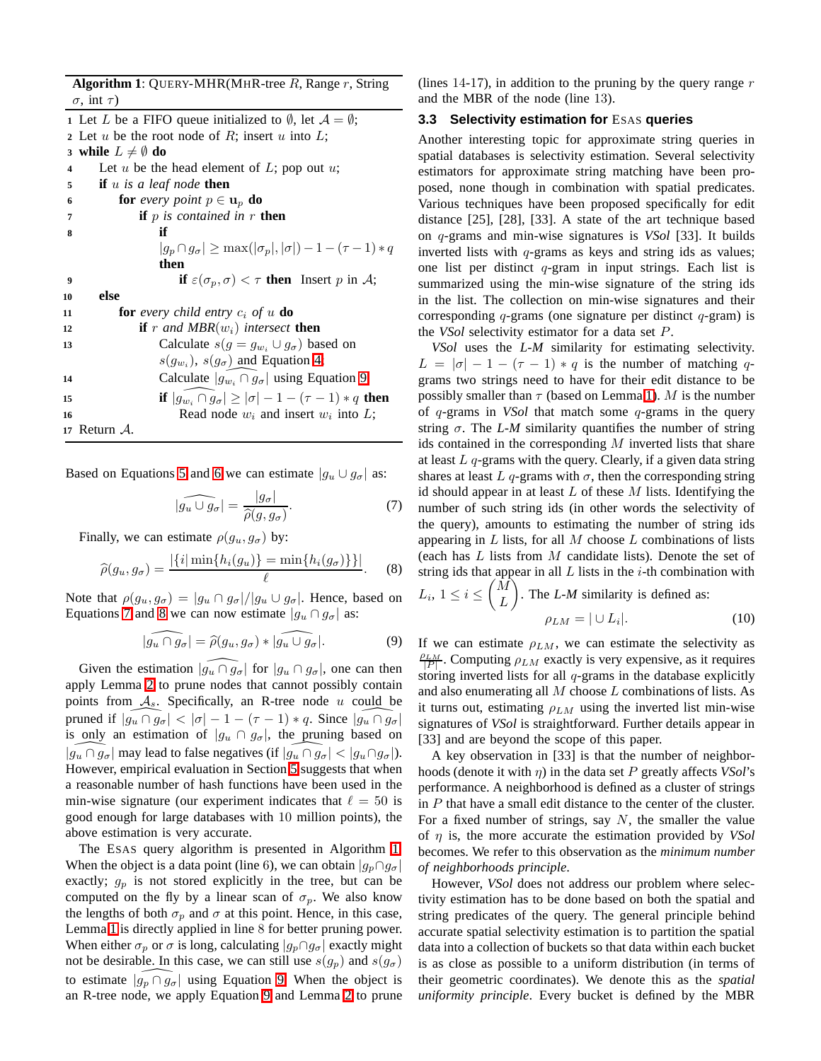**Algorithm 1**: QUERY-MHR(MHR-tree R, Range r, String  $\sigma$ , int  $\tau$ )

|                  | 1 Let L be a FIFO queue initialized to $\emptyset$ , let $\mathcal{A} = \emptyset$ ; |
|------------------|--------------------------------------------------------------------------------------|
|                  | 2 Let u be the root node of R; insert u into $L$ ;                                   |
|                  | 3 while $L \neq \emptyset$ do                                                        |
| $\boldsymbol{4}$ | Let u be the head element of $L$ ; pop out $u$ ;                                     |
| 5                | if $u$ is a leaf node then                                                           |
| 6                | <b>for</b> every point $p \in \mathbf{u}_p$ <b>do</b>                                |
| 7                | <b>if</b> p is contained in r <b>then</b>                                            |
| 8                | if                                                                                   |
|                  | $ g_p \cap g_\sigma  \ge \max( \sigma_p ,  \sigma ) - 1 - (\tau - 1) * q$            |
|                  | then                                                                                 |
| 9                | if $\varepsilon(\sigma_p, \sigma) < \tau$ then Insert p in A;                        |
| 10               | else                                                                                 |
| 11               | <b>for</b> every child entry $c_i$ of u <b>do</b>                                    |
| 12               | <b>if</b> r and $MBR(w_i)$ intersect <b>then</b>                                     |
| 13               | Calculate $s(g = g_{w_i} \cup g_{\sigma})$ based on                                  |
|                  | $s(g_{w_i}), s(g_{\sigma})$ and Equation 4;                                          |
| 14               | Calculate $ g_{w_i} \cap g_{\sigma} $ using Equation 9;                              |
| 15               | if $ g_{w_i} \cap g_{\sigma}  \geq  \sigma  - 1 - (\tau - 1) * q$ then               |
| 16               | Read node $w_i$ and insert $w_i$ into $L$ ;                                          |
|                  | 17 Return $A$ .                                                                      |
|                  |                                                                                      |

Based on Equations [5](#page--1-15) and [6](#page--1-18) we can estimate  $|g_u \cup g_{\sigma}|$  as:

$$
|\widehat{g_u \cup g_\sigma}| = \frac{|g_\sigma|}{\widehat{\rho}(g, g_\sigma)}.
$$
\n(7)

Finally, we can estimate  $\rho(g_u, g_{\sigma})$  by:

$$
\widehat{\rho}(g_u, g_{\sigma}) = \frac{|\{i | \min\{h_i(g_u)\} = \min\{h_i(g_{\sigma})\}\}|}{\ell}.
$$
 (8)

Note that  $\rho(g_u, g_{\sigma}) = |g_u \cap g_{\sigma}|/|g_u \cup g_{\sigma}|$ . Hence, based on Equations [7](#page--1-19) and [8](#page--1-20) we can now estimate  $|g_u \cap g_{\sigma}|$  as:

$$
|g_u \cap g_\sigma| = \widehat{\rho}(g_u, g_\sigma) * |g_u \cup g_\sigma|.
$$
 (9)

Given the estimation  $|g_u \cap g_\sigma|$  for  $|g_u \cap g_\sigma|$ , one can then apply Lemma [2](#page--1-12) to prune nodes that cannot possibly contain points from  $A_s$ . Specifically, an R-tree node u could be pruned if  $|g_u \cap g_\sigma| < |\sigma| - 1 - (\tau - 1) * q$ . Since  $|g_u \cap g_\sigma|$ is only an estimation of  $|g_u \cap g_\sigma|$ , the pruning based on  $|g_u \cap g_\sigma|$  may lead to false negatives (if  $|g_u \cap g_\sigma| < |g_u \cap g_\sigma|$ ). However, empirical evaluation in Section [5](#page--1-6) suggests that when a reasonable number of hash functions have been used in the min-wise signature (our experiment indicates that  $\ell = 50$  is good enough for large databases with 10 million points), the above estimation is very accurate.

The ESAS query algorithm is presented in Algorithm [1.](#page--1-21) When the object is a data point (line 6), we can obtain  $|g_p \cap g_\sigma|$ exactly;  $g_p$  is not stored explicitly in the tree, but can be computed on the fly by a linear scan of  $\sigma_p$ . We also know the lengths of both  $\sigma_p$  and  $\sigma$  at this point. Hence, in this case, Lemma [1](#page--1-11) is directly applied in line 8 for better pruning power. When either  $\sigma_p$  or  $\sigma$  is long, calculating  $|g_p \cap g_{\sigma}|$  exactly might not be desirable. In this case, we can still use  $s(g_p)$  and  $s(g_\sigma)$ to estimate  $|g_p \cap g_{\sigma}|$  using Equation [9.](#page--1-17) When the object is an R-tree node, we apply Equation [9](#page--1-17) and Lemma [2](#page--1-12) to prune (lines 14-17), in addition to the pruning by the query range  $r$ and the MBR of the node (line 13).

## **3.3 Selectivity estimation for** ESAS **queries**

Another interesting topic for approximate string queries in spatial databases is selectivity estimation. Several selectivity estimators for approximate string matching have been proposed, none though in combination with spatial predicates. Various techniques have been proposed specifically for edit distance [25], [28], [33]. A state of the art technique based on q-grams and min-wise signatures is *VSol* [33]. It builds inverted lists with  $q$ -grams as keys and string ids as values; one list per distinct  $q$ -gram in input strings. Each list is summarized using the min-wise signature of the string ids in the list. The collection on min-wise signatures and their corresponding  $q$ -grams (one signature per distinct  $q$ -gram) is the *VSol* selectivity estimator for a data set P.

*VSol* uses the *L-M* similarity for estimating selectivity.  $L = |\sigma| - 1 - (\tau - 1) * q$  is the number of matching qgrams two strings need to have for their edit distance to be possibly smaller than  $\tau$  (based on Lemma [1\)](#page--1-11). M is the number of q-grams in *VSol* that match some q-grams in the query string  $\sigma$ . The *L-M* similarity quantifies the number of string ids contained in the corresponding  $M$  inverted lists that share at least  $L$  q-grams with the query. Clearly, if a given data string shares at least L q-grams with  $\sigma$ , then the corresponding string id should appear in at least  $L$  of these  $M$  lists. Identifying the number of such string ids (in other words the selectivity of the query), amounts to estimating the number of string ids appearing in  $L$  lists, for all  $M$  choose  $L$  combinations of lists (each has  $L$  lists from  $M$  candidate lists). Denote the set of string ids that appear in all  $L$  lists in the  $i$ -th combination with  $(\dot{M})$ M

$$
L_i, 1 \le i \le {M \choose L}. \text{ The } L \text{-}M \text{ similarity is defined as:}
$$
\n
$$
\rho_{LM} = |\cup L_i|. \tag{10}
$$

If we can estimate  $\rho_{LM}$ , we can estimate the selectivity as  $\frac{\rho_{LM}}{|P|}$ . Computing  $\rho_{LM}$  exactly is very expensive, as it requires storing inverted lists for all  $q$ -grams in the database explicitly and also enumerating all  $M$  choose  $L$  combinations of lists. As it turns out, estimating  $\rho_{LM}$  using the inverted list min-wise signatures of *VSol* is straightforward. Further details appear in [33] and are beyond the scope of this paper.

A key observation in [33] is that the number of neighborhoods (denote it with  $\eta$ ) in the data set P greatly affects *VSol*'s performance. A neighborhood is defined as a cluster of strings in P that have a small edit distance to the center of the cluster. For a fixed number of strings, say  $N$ , the smaller the value of η is, the more accurate the estimation provided by *VSol* becomes. We refer to this observation as the *minimum number of neighborhoods principle*.

However, *VSol* does not address our problem where selectivity estimation has to be done based on both the spatial and string predicates of the query. The general principle behind accurate spatial selectivity estimation is to partition the spatial data into a collection of buckets so that data within each bucket is as close as possible to a uniform distribution (in terms of their geometric coordinates). We denote this as the *spatial uniformity principle*. Every bucket is defined by the MBR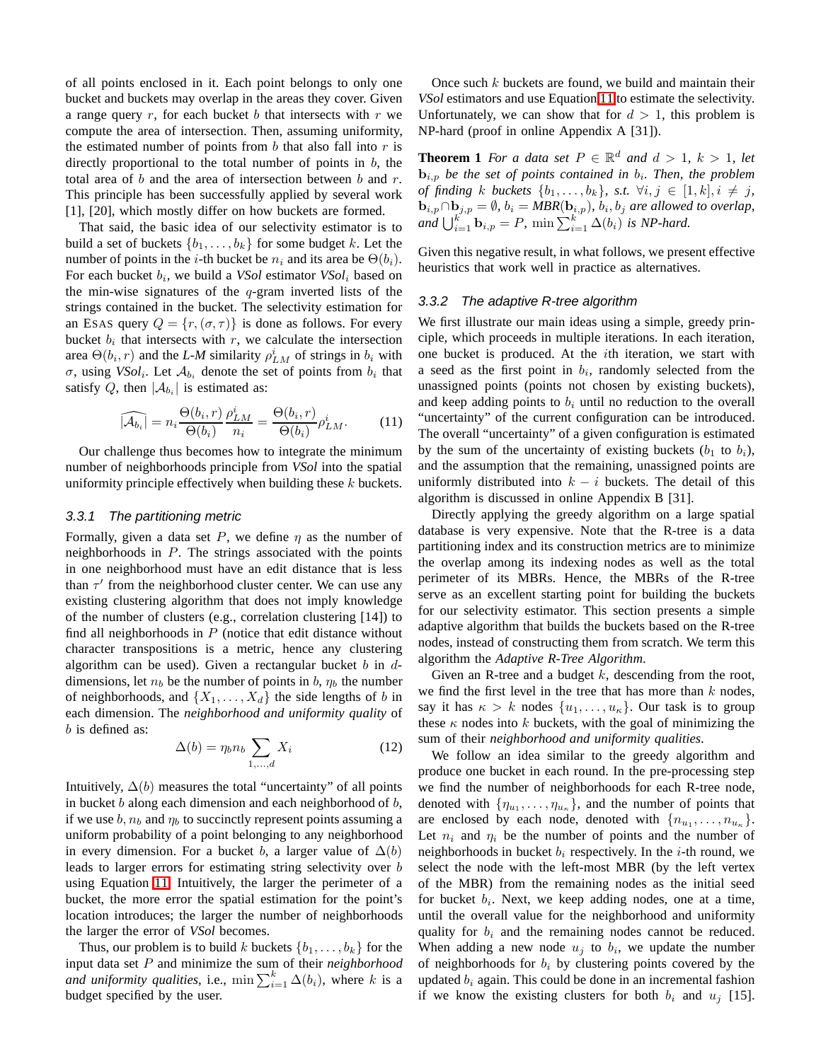of all points enclosed in it. Each point belongs to only one bucket and buckets may overlap in the areas they cover. Given a range query r, for each bucket b that intersects with r we compute the area of intersection. Then, assuming uniformity, the estimated number of points from  $b$  that also fall into  $r$  is directly proportional to the total number of points in  $b$ , the total area of b and the area of intersection between b and  $r$ . This principle has been successfully applied by several work [1], [20], which mostly differ on how buckets are formed.

That said, the basic idea of our selectivity estimator is to build a set of buckets  $\{b_1, \ldots, b_k\}$  for some budget k. Let the number of points in the *i*-th bucket be  $n_i$  and its area be  $\Theta(b_i)$ . For each bucket  $b_i$ , we build a *VSol* estimator *VSol<sub>i</sub>* based on the min-wise signatures of the  $q$ -gram inverted lists of the strings contained in the bucket. The selectivity estimation for an ESAS query  $Q = \{r, (\sigma, \tau)\}\$ is done as follows. For every bucket  $b_i$  that intersects with r, we calculate the intersection area  $\Theta(b_i, r)$  and the *L-M* similarity  $\rho_{LM}^i$  of strings in  $b_i$  with  $\sigma$ , using *VSol<sub>i</sub>*. Let  $\mathcal{A}_{b_i}$  denote the set of points from  $b_i$  that satisfy Q, then  $|\mathcal{A}_{b_i}|$  is estimated as:

$$
\widehat{|\mathcal{A}_{b_i}|} = n_i \frac{\Theta(b_i, r)}{\Theta(b_i)} \frac{\rho_{LM}^i}{n_i} = \frac{\Theta(b_i, r)}{\Theta(b_i)} \rho_{LM}^i.
$$
 (11)

Our challenge thus becomes how to integrate the minimum number of neighborhoods principle from *VSol* into the spatial uniformity principle effectively when building these  $k$  buckets.

#### 3.3.1 The partitioning metric

Formally, given a data set P, we define  $\eta$  as the number of neighborhoods in  $P$ . The strings associated with the points in one neighborhood must have an edit distance that is less than  $\tau'$  from the neighborhood cluster center. We can use any existing clustering algorithm that does not imply knowledge of the number of clusters (e.g., correlation clustering [14]) to find all neighborhoods in  $P$  (notice that edit distance without character transpositions is a metric, hence any clustering algorithm can be used). Given a rectangular bucket  $b$  in  $d$ dimensions, let  $n_b$  be the number of points in b,  $\eta_b$  the number of neighborhoods, and  $\{X_1, \ldots, X_d\}$  the side lengths of b in each dimension. The *neighborhood and uniformity quality* of b is defined as:

$$
\Delta(b) = \eta_b n_b \sum_{1,\dots,d} X_i \tag{12}
$$

Intuitively,  $\Delta(b)$  measures the total "uncertainty" of all points in bucket  $b$  along each dimension and each neighborhood of  $b$ , if we use  $b, n_b$  and  $n_b$  to succinctly represent points assuming a uniform probability of a point belonging to any neighborhood in every dimension. For a bucket b, a larger value of  $\Delta(b)$ leads to larger errors for estimating string selectivity over b using Equation [11.](#page--1-22) Intuitively, the larger the perimeter of a bucket, the more error the spatial estimation for the point's location introduces; the larger the number of neighborhoods the larger the error of *VSol* becomes.

Thus, our problem is to build k buckets  $\{b_1, \ldots, b_k\}$  for the input data set P and minimize the sum of their *neighborhood and uniformity qualities*, i.e.,  $\min \sum_{i=1}^{k} \Delta(b_i)$ , where k is a budget specified by the user.

Once such k buckets are found, we build and maintain their *VSol* estimators and use Equation [11](#page--1-22) to estimate the selectivity. Unfortunately, we can show that for  $d > 1$ , this problem is NP-hard (proof in online Appendix A [31]).

**Theorem 1** *For a data set*  $P \in \mathbb{R}^d$  *and*  $d > 1$ *,*  $k > 1$ *, let* *be the set of points contained in*  $**b**<sub>i</sub>$ *. Then, the problem of finding* k *buckets*  $\{b_1, \ldots, b_k\}$ , *s.t.*  $\forall i, j \in [1, k], i \neq j$ ,  $\mathbf{b}_{i,p} \cap \mathbf{b}_{j,p} = \emptyset$ ,  $b_i = \text{MBR}(\mathbf{b}_{i,p})$ ,  $b_i, b_j$  are allowed to overlap, *and*  $\bigcup_{i=1}^{k}$  **b**<sub>*i,p*</sub> = *P*, min  $\sum_{i=1}^{k} \Delta(b_i)$  *is NP-hard.* 

Given this negative result, in what follows, we present effective heuristics that work well in practice as alternatives.

## 3.3.2 The adaptive R-tree algorithm

We first illustrate our main ideas using a simple, greedy principle, which proceeds in multiple iterations. In each iteration, one bucket is produced. At the ith iteration, we start with a seed as the first point in  $b_i$ , randomly selected from the unassigned points (points not chosen by existing buckets), and keep adding points to  $b_i$  until no reduction to the overall "uncertainty" of the current configuration can be introduced. The overall "uncertainty" of a given configuration is estimated by the sum of the uncertainty of existing buckets  $(b_1$  to  $b_i)$ , and the assumption that the remaining, unassigned points are uniformly distributed into  $k - i$  buckets. The detail of this algorithm is discussed in online Appendix B [31].

Directly applying the greedy algorithm on a large spatial database is very expensive. Note that the R-tree is a data partitioning index and its construction metrics are to minimize the overlap among its indexing nodes as well as the total perimeter of its MBRs. Hence, the MBRs of the R-tree serve as an excellent starting point for building the buckets for our selectivity estimator. This section presents a simple adaptive algorithm that builds the buckets based on the R-tree nodes, instead of constructing them from scratch. We term this algorithm the *Adaptive R-Tree Algorithm*.

Given an R-tree and a budget  $k$ , descending from the root, we find the first level in the tree that has more than  $k$  nodes, say it has  $\kappa > k$  nodes  $\{u_1, \ldots, u_{\kappa}\}.$  Our task is to group these  $\kappa$  nodes into k buckets, with the goal of minimizing the sum of their *neighborhood and uniformity qualities*.

We follow an idea similar to the greedy algorithm and produce one bucket in each round. In the pre-processing step we find the number of neighborhoods for each R-tree node, denoted with  $\{\eta_{u_1}, \dots, \eta_{u_{\kappa}}\}$ , and the number of points that are enclosed by each node, denoted with  $\{n_{u_1}, \ldots, n_{u_{\kappa}}\}.$ Let  $n_i$  and  $n_i$  be the number of points and the number of neighborhoods in bucket  $b_i$  respectively. In the *i*-th round, we select the node with the left-most MBR (by the left vertex of the MBR) from the remaining nodes as the initial seed for bucket  $b_i$ . Next, we keep adding nodes, one at a time, until the overall value for the neighborhood and uniformity quality for  $b_i$  and the remaining nodes cannot be reduced. When adding a new node  $u_j$  to  $b_i$ , we update the number of neighborhoods for  $b_i$  by clustering points covered by the updated  $b_i$  again. This could be done in an incremental fashion if we know the existing clusters for both  $b_i$  and  $u_j$  [15].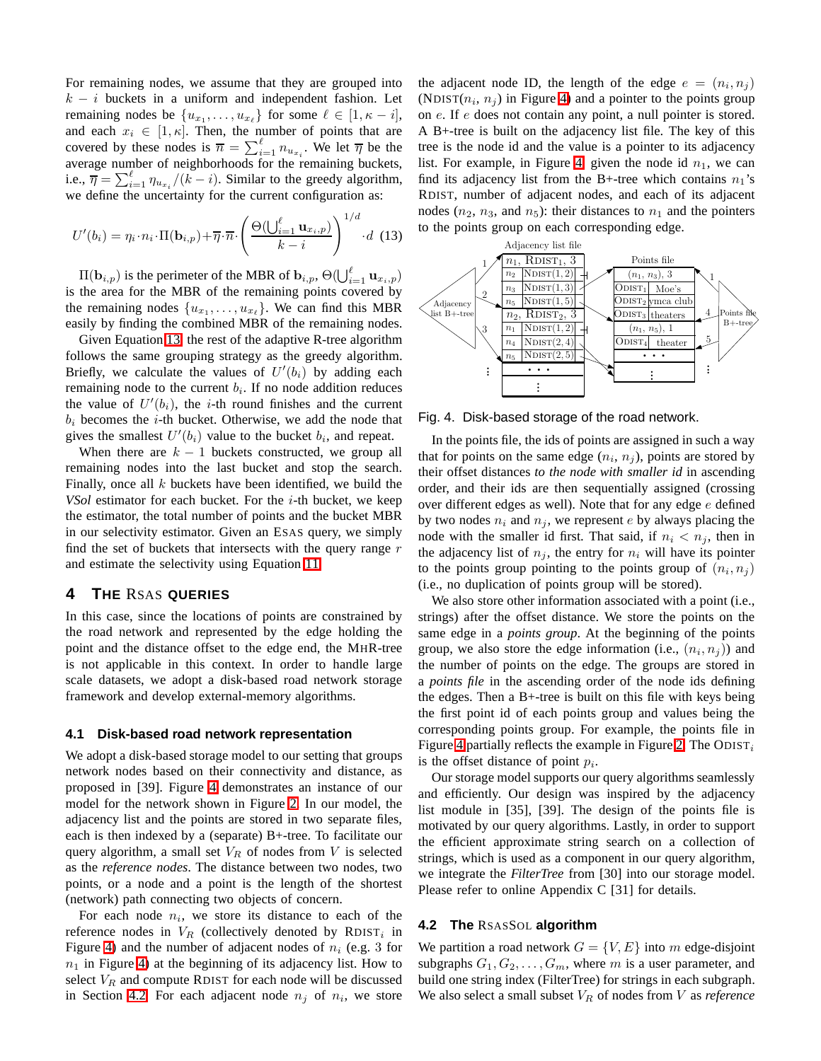For remaining nodes, we assume that they are grouped into  $k - i$  buckets in a uniform and independent fashion. Let remaining nodes be  $\{u_{x_1}, \ldots, u_{x_\ell}\}$  for some  $\ell \in [1, \kappa - i]$ , and each  $x_i \in [1, \kappa]$ . Then, the number of points that are covered by these nodes is  $\overline{n} = \sum_{i=1}^{\ell} n_{u_{x_i}}$ . We let  $\overline{\eta}$  be the average number of neighborhoods for the remaining buckets, i.e.,  $\overline{\eta} = \sum_{i=1}^{\ell} \eta_{u_{x_i}}/(k - i)$ . Similar to the greedy algorithm, we define the uncertainty for the current configuration as:

$$
U'(b_i) = \eta_i \cdot n_i \cdot \Pi(\mathbf{b}_{i,p}) + \overline{\eta} \cdot \overline{n} \cdot \left(\frac{\Theta(\bigcup_{i=1}^{\ell} \mathbf{u}_{x_i, p})}{k - i}\right)^{1/d} \cdot d \tag{13}
$$

 $\Pi({\bf b}_{i,p})$  is the perimeter of the MBR of  ${\bf b}_{i,p}, \Theta(\bigcup_{i=1}^{\ell} {\bf u}_{x_i,p})$ is the area for the MBR of the remaining points covered by the remaining nodes  $\{u_{x_1}, \ldots, u_{x_\ell}\}$ . We can find this MBR easily by finding the combined MBR of the remaining nodes.

Given Equation [13,](#page--1-23) the rest of the adaptive R-tree algorithm follows the same grouping strategy as the greedy algorithm. Briefly, we calculate the values of  $U'(b_i)$  by adding each remaining node to the current  $b_i$ . If no node addition reduces the value of  $U'(b_i)$ , the *i*-th round finishes and the current  $b_i$  becomes the *i*-th bucket. Otherwise, we add the node that gives the smallest  $U'(b_i)$  value to the bucket  $b_i$ , and repeat.

When there are  $k - 1$  buckets constructed, we group all remaining nodes into the last bucket and stop the search. Finally, once all  $k$  buckets have been identified, we build the *VSol* estimator for each bucket. For the i-th bucket, we keep the estimator, the total number of points and the bucket MBR in our selectivity estimator. Given an ESAS query, we simply find the set of buckets that intersects with the query range  $r$ and estimate the selectivity using Equation [11.](#page--1-22)

## **4 THE** RSAS **QUERIES**

In this case, since the locations of points are constrained by the road network and represented by the edge holding the point and the distance offset to the edge end, the MHR-tree is not applicable in this context. In order to handle large scale datasets, we adopt a disk-based road network storage framework and develop external-memory algorithms.

#### **4.1 Disk-based road network representation**

We adopt a disk-based storage model to our setting that groups network nodes based on their connectivity and distance, as proposed in [39]. Figure [4](#page--1-24) demonstrates an instance of our model for the network shown in Figure [2.](#page--1-1) In our model, the adjacency list and the points are stored in two separate files, each is then indexed by a (separate) B+-tree. To facilitate our query algorithm, a small set  $V_R$  of nodes from V is selected as the *reference nodes*. The distance between two nodes, two points, or a node and a point is the length of the shortest (network) path connecting two objects of concern.

For each node  $n_i$ , we store its distance to each of the reference nodes in  $V_R$  (collectively denoted by RDIST<sub>i</sub> in Figure [4\)](#page--1-24) and the number of adjacent nodes of  $n_i$  (e.g. 3 for  $n_1$  in Figure [4\)](#page--1-24) at the beginning of its adjacency list. How to select  $V_R$  and compute RDIST for each node will be discussed in Section [4.2.](#page--1-25) For each adjacent node  $n_j$  of  $n_i$ , we store

the adjacent node ID, the length of the edge  $e = (n_i, n_j)$ (NDIST $(n_i, n_j)$  in Figure [4\)](#page--1-24) and a pointer to the points group on e. If e does not contain any point, a null pointer is stored. A B+-tree is built on the adjacency list file. The key of this tree is the node id and the value is a pointer to its adjacency list. For example, in Figure [4,](#page--1-24) given the node id  $n_1$ , we can find its adjacency list from the B+-tree which contains  $n_1$ 's RDIST, number of adjacent nodes, and each of its adjacent nodes  $(n_2, n_3, \text{ and } n_5)$ : their distances to  $n_1$  and the pointers to the points group on each corresponding edge.



Fig. 4. Disk-based storage of the road network.

In the points file, the ids of points are assigned in such a way that for points on the same edge  $(n_i, n_j)$ , points are stored by their offset distances *to the node with smaller id* in ascending order, and their ids are then sequentially assigned (crossing over different edges as well). Note that for any edge  $e$  defined by two nodes  $n_i$  and  $n_j$ , we represent e by always placing the node with the smaller id first. That said, if  $n_i < n_j$ , then in the adjacency list of  $n_j$ , the entry for  $n_i$  will have its pointer to the points group pointing to the points group of  $(n_i, n_j)$ (i.e., no duplication of points group will be stored).

We also store other information associated with a point (i.e., strings) after the offset distance. We store the points on the same edge in a *points group*. At the beginning of the points group, we also store the edge information (i.e.,  $(n_i, n_j)$ ) and the number of points on the edge. The groups are stored in a *points file* in the ascending order of the node ids defining the edges. Then a B+-tree is built on this file with keys being the first point id of each points group and values being the corresponding points group. For example, the points file in Figure [4](#page--1-24) partially reflects the example in Figure [2.](#page--1-1) The ODIST<sub>i</sub> is the offset distance of point  $p_i$ .

Our storage model supports our query algorithms seamlessly and efficiently. Our design was inspired by the adjacency list module in [35], [39]. The design of the points file is motivated by our query algorithms. Lastly, in order to support the efficient approximate string search on a collection of strings, which is used as a component in our query algorithm, we integrate the *FilterTree* from [30] into our storage model. Please refer to online Appendix C [31] for details.

#### **4.2 The** RSASSOL **algorithm**

We partition a road network  $G = \{V, E\}$  into m edge-disjoint subgraphs  $G_1, G_2, \ldots, G_m$ , where m is a user parameter, and build one string index (FilterTree) for strings in each subgraph. We also select a small subset  $V_R$  of nodes from  $V$  as *reference*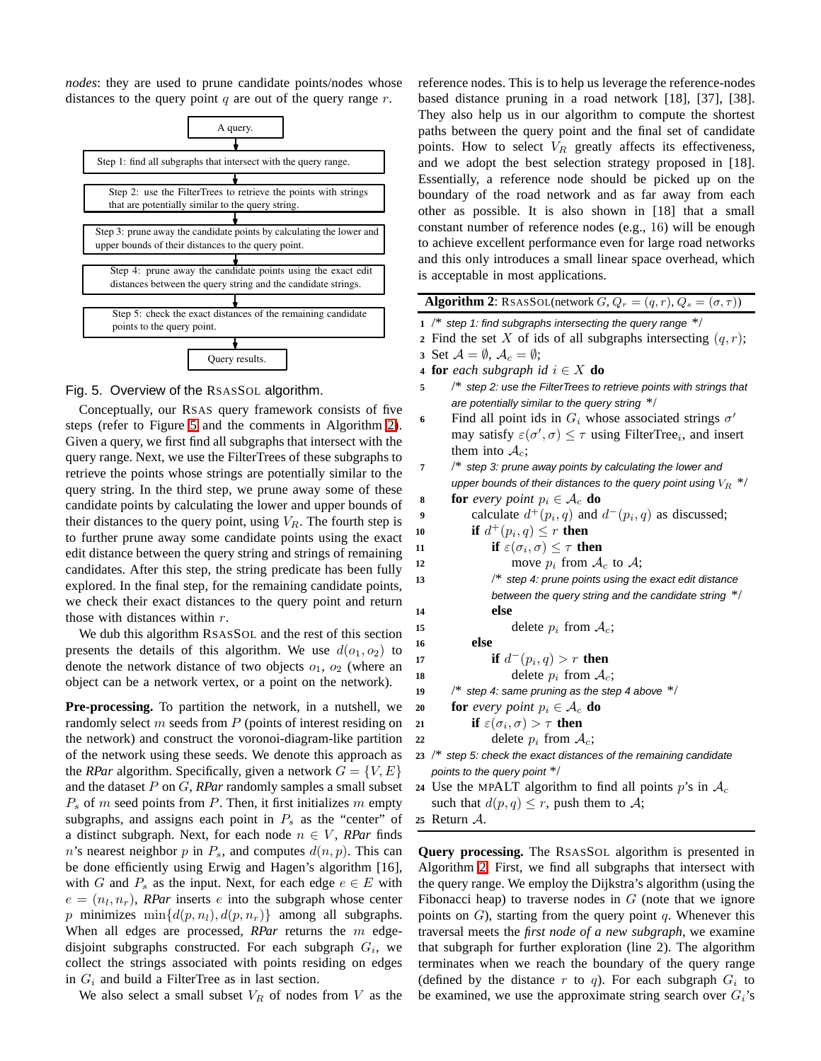*nodes*: they are used to prune candidate points/nodes whose distances to the query point  $q$  are out of the query range  $r$ .



Fig. 5. Overview of the RSASSOL algorithm.

Conceptually, our RSAS query framework consists of five steps (refer to Figure [5](#page--1-26) and the comments in Algorithm [2\)](#page--1-27). Given a query, we first find all subgraphs that intersect with the query range. Next, we use the FilterTrees of these subgraphs to retrieve the points whose strings are potentially similar to the query string. In the third step, we prune away some of these candidate points by calculating the lower and upper bounds of their distances to the query point, using  $V_R$ . The fourth step is to further prune away some candidate points using the exact edit distance between the query string and strings of remaining candidates. After this step, the string predicate has been fully explored. In the final step, for the remaining candidate points, we check their exact distances to the query point and return those with distances within r.

We dub this algorithm RSASSOL and the rest of this section presents the details of this algorithm. We use  $d(o_1, o_2)$  to denote the network distance of two objects  $o_1$ ,  $o_2$  (where an object can be a network vertex, or a point on the network).

**Pre-processing.** To partition the network, in a nutshell, we randomly select  $m$  seeds from  $P$  (points of interest residing on the network) and construct the voronoi-diagram-like partition of the network using these seeds. We denote this approach as the *RPar* algorithm. Specifically, given a network  $G = \{V, E\}$ and the dataset P on G, *RPar* randomly samples a small subset  $P<sub>s</sub>$  of m seed points from P. Then, it first initializes m empty subgraphs, and assigns each point in  $P_s$  as the "center" of a distinct subgraph. Next, for each node  $n \in V$ , *RPar* finds n's nearest neighbor p in  $P_s$ , and computes  $d(n, p)$ . This can be done efficiently using Erwig and Hagen's algorithm [16], with G and  $P_s$  as the input. Next, for each edge  $e \in E$  with  $e = (n_l, n_r)$ , *RPar* inserts *e* into the subgraph whose center p minimizes  $\min\{d(p, n_l), d(p, n_r)\}\$  among all subgraphs. When all edges are processed, *RPar* returns the m edgedisjoint subgraphs constructed. For each subgraph  $G_i$ , we collect the strings associated with points residing on edges in  $G_i$  and build a FilterTree as in last section.

We also select a small subset  $V_R$  of nodes from V as the

reference nodes. This is to help us leverage the reference-nodes based distance pruning in a road network [18], [37], [38]. They also help us in our algorithm to compute the shortest paths between the query point and the final set of candidate points. How to select  $V_R$  greatly affects its effectiveness, and we adopt the best selection strategy proposed in [18]. Essentially, a reference node should be picked up on the boundary of the road network and as far away from each other as possible. It is also shown in [18] that a small constant number of reference nodes (e.g., 16) will be enough to achieve excellent performance even for large road networks and this only introduces a small linear space overhead, which is acceptable in most applications.

| <b>Algorithm 2:</b> RSASSOL(network $G, Q_r = (q, r), Q_s = (\sigma, \tau)$ ) |                                                                                                 |  |
|-------------------------------------------------------------------------------|-------------------------------------------------------------------------------------------------|--|
|                                                                               | 1 $\frac{1}{1}$ step 1: find subgraphs intersecting the query range $\frac{1}{1}$               |  |
|                                                                               | 2 Find the set X of ids of all subgraphs intersecting $(q, r)$ ;                                |  |
|                                                                               | 3 Set $\mathcal{A} = \emptyset$ , $\mathcal{A}_c = \emptyset$ ;                                 |  |
| 4                                                                             | <b>for</b> each subgraph id $i \in X$ <b>do</b>                                                 |  |
| 5                                                                             | $/*$ step 2: use the FilterTrees to retrieve points with strings that                           |  |
|                                                                               | are potentially similar to the query string */                                                  |  |
| 6                                                                             | Find all point ids in $G_i$ whose associated strings $\sigma'$                                  |  |
|                                                                               | may satisfy $\varepsilon(\sigma', \sigma) \leq \tau$ using FilterTree <sub>i</sub> , and insert |  |
|                                                                               | them into $A_c$ ;                                                                               |  |
| 7                                                                             | $/*$ step 3: prune away points by calculating the lower and                                     |  |
|                                                                               | upper bounds of their distances to the query point using $V_R$ */                               |  |
| 8                                                                             | <b>for</b> every point $p_i \in A_c$ <b>do</b>                                                  |  |
| 9                                                                             | calculate $d^+(p_i, q)$ and $d^-(p_i, q)$ as discussed;                                         |  |
| 10                                                                            | if $d^+(p_i,q) \leq r$ then                                                                     |  |
| 11                                                                            | if $\varepsilon(\sigma_i, \sigma) \leq \tau$ then                                               |  |
| 12                                                                            | move $p_i$ from $\mathcal{A}_c$ to $\mathcal{A}$ ;                                              |  |
| 13                                                                            | $\frac{4}{3}$ step 4: prune points using the exact edit distance                                |  |
|                                                                               | between the query string and the candidate string */                                            |  |
| 14                                                                            | else                                                                                            |  |
| 15                                                                            | delete $p_i$ from $A_c$ ;                                                                       |  |
| 16                                                                            | else                                                                                            |  |
| 17                                                                            | if $d^-(p_i,q) > r$ then                                                                        |  |
| 18                                                                            | delete $p_i$ from $A_c$ ;                                                                       |  |
| 19                                                                            | $\frac{*}{*}$ step 4: same pruning as the step 4 above $\frac{*}{*}$                            |  |
| 20                                                                            | <b>for</b> every point $p_i \in A_c$ <b>do</b>                                                  |  |
| 21                                                                            | if $\varepsilon(\sigma_i, \sigma) > \tau$ then                                                  |  |
| 22                                                                            | delete $p_i$ from $A_c$ ;                                                                       |  |
|                                                                               | $23$ /* step 5: check the exact distances of the remaining candidate                            |  |
|                                                                               | points to the query point */                                                                    |  |
|                                                                               | 24 Use the MPALT algorithm to find all points p's in $A_c$                                      |  |
|                                                                               | such that $d(p, q) \leq r$ , push them to A;                                                    |  |
|                                                                               | 25 Return $A$ .                                                                                 |  |

**Query processing.** The RSASSOL algorithm is presented in Algorithm [2.](#page--1-27) First, we find all subgraphs that intersect with the query range. We employ the Dijkstra's algorithm (using the Fibonacci heap) to traverse nodes in  $G$  (note that we ignore points on  $G$ ), starting from the query point  $q$ . Whenever this traversal meets the *first node of a new subgraph*, we examine that subgraph for further exploration (line 2). The algorithm terminates when we reach the boundary of the query range (defined by the distance r to q). For each subgraph  $G_i$  to be examined, we use the approximate string search over  $G_i$ 's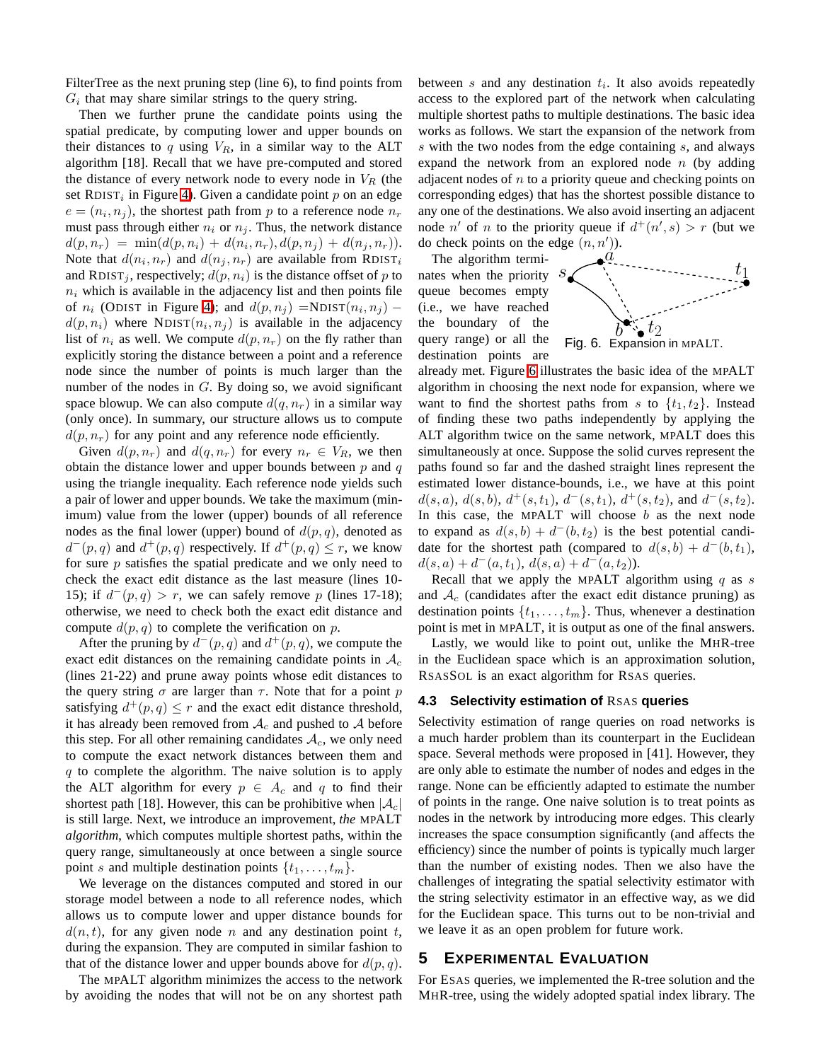FilterTree as the next pruning step (line 6), to find points from  $G_i$  that may share similar strings to the query string.

Then we further prune the candidate points using the spatial predicate, by computing lower and upper bounds on their distances to q using  $V_R$ , in a similar way to the ALT algorithm [18]. Recall that we have pre-computed and stored the distance of every network node to every node in  $V_R$  (the set RDIST<sub>i</sub> in Figure [4\)](#page--1-24). Given a candidate point p on an edge  $e = (n_i, n_j)$ , the shortest path from p to a reference node  $n_r$ must pass through either  $n_i$  or  $n_j$ . Thus, the network distance  $d(p, n_r) = \min(d(p, n_i) + d(n_i, n_r), d(p, n_j) + d(n_j, n_r)).$ Note that  $d(n_i, n_r)$  and  $d(n_j, n_r)$  are available from RDIST<sub>i</sub> and RDIST<sub>i</sub>, respectively;  $d(p, n_i)$  is the distance offset of p to  $n_i$  which is available in the adjacency list and then points file of  $n_i$  (ODIST in Figure [4\)](#page--1-24); and  $d(p, n_j) = \text{NDIST}(n_i, n_j)$  –  $d(p, n_i)$  where NDIST $(n_i, n_j)$  is available in the adjacency list of  $n_i$  as well. We compute  $d(p, n_r)$  on the fly rather than explicitly storing the distance between a point and a reference node since the number of points is much larger than the number of the nodes in  $G$ . By doing so, we avoid significant space blowup. We can also compute  $d(q, n_r)$  in a similar way (only once). In summary, our structure allows us to compute  $d(p, n_r)$  for any point and any reference node efficiently.

Given  $d(p, n_r)$  and  $d(q, n_r)$  for every  $n_r \in V_R$ , we then obtain the distance lower and upper bounds between  $p$  and  $q$ using the triangle inequality. Each reference node yields such a pair of lower and upper bounds. We take the maximum (minimum) value from the lower (upper) bounds of all reference nodes as the final lower (upper) bound of  $d(p, q)$ , denoted as  $d^-(p, q)$  and  $d^+(p, q)$  respectively. If  $d^+(p, q) \leq r$ , we know for sure  $p$  satisfies the spatial predicate and we only need to check the exact edit distance as the last measure (lines 10- 15); if  $d^-(p, q) > r$ , we can safely remove p (lines 17-18); otherwise, we need to check both the exact edit distance and compute  $d(p, q)$  to complete the verification on p.

After the pruning by  $d^-(p, q)$  and  $d^+(p, q)$ , we compute the exact edit distances on the remaining candidate points in  $A_c$ (lines 21-22) and prune away points whose edit distances to the query string  $\sigma$  are larger than  $\tau$ . Note that for a point p satisfying  $d^+(p,q) \leq r$  and the exact edit distance threshold, it has already been removed from  $A_c$  and pushed to A before this step. For all other remaining candidates  $A_c$ , we only need to compute the exact network distances between them and  $q$  to complete the algorithm. The naive solution is to apply the ALT algorithm for every  $p \in A_c$  and q to find their shortest path [18]. However, this can be prohibitive when  $|\mathcal{A}_c|$ is still large. Next, we introduce an improvement, *the* MPALT *algorithm*, which computes multiple shortest paths, within the query range, simultaneously at once between a single source point s and multiple destination points  $\{t_1, \ldots, t_m\}$ .

We leverage on the distances computed and stored in our storage model between a node to all reference nodes, which allows us to compute lower and upper distance bounds for  $d(n, t)$ , for any given node n and any destination point t, during the expansion. They are computed in similar fashion to that of the distance lower and upper bounds above for  $d(p, q)$ .

The MPALT algorithm minimizes the access to the network by avoiding the nodes that will not be on any shortest path

between  $s$  and any destination  $t_i$ . It also avoids repeatedly access to the explored part of the network when calculating multiple shortest paths to multiple destinations. The basic idea works as follows. We start the expansion of the network from s with the two nodes from the edge containing s, and always expand the network from an explored node  $n$  (by adding adjacent nodes of  $n$  to a priority queue and checking points on corresponding edges) that has the shortest possible distance to any one of the destinations. We also avoid inserting an adjacent node  $n'$  of n to the priority queue if  $d^+(n', s) > r$  (but we do check points on the edge  $(n, n')$ ).<br>The algorithm termi-

The algorithm terminates when the priority  $S_{\blacktriangle}$ queue becomes empty (i.e., we have reached the boundary of the query range) or all the destination points are



already met. Figure [6](#page--1-28) illustrates the basic idea of the MPALT algorithm in choosing the next node for expansion, where we want to find the shortest paths from s to  $\{t_1, t_2\}$ . Instead of finding these two paths independently by applying the ALT algorithm twice on the same network, MPALT does this simultaneously at once. Suppose the solid curves represent the paths found so far and the dashed straight lines represent the estimated lower distance-bounds, i.e., we have at this point  $d(s, a), d(s, b), d^+(s, t_1), d^-(s, t_1), d^+(s, t_2),$  and  $d^-(s, t_2)$ . In this case, the MPALT will choose  $b$  as the next node to expand as  $d(s, b) + d^-(b, t_2)$  is the best potential candidate for the shortest path (compared to  $d(s, b) + d^-(b, t_1)$ ,  $d(s, a) + d^{-}(a, t_1), d(s, a) + d^{-}(a, t_2)).$ 

Recall that we apply the MPALT algorithm using  $q$  as  $s$ and  $A_c$  (candidates after the exact edit distance pruning) as destination points  $\{t_1, \ldots, t_m\}$ . Thus, whenever a destination point is met in MPALT, it is output as one of the final answers.

Lastly, we would like to point out, unlike the MHR-tree in the Euclidean space which is an approximation solution, RSASSOL is an exact algorithm for RSAS queries.

## **4.3 Selectivity estimation of** RSAS **queries**

Selectivity estimation of range queries on road networks is a much harder problem than its counterpart in the Euclidean space. Several methods were proposed in [41]. However, they are only able to estimate the number of nodes and edges in the range. None can be efficiently adapted to estimate the number of points in the range. One naive solution is to treat points as nodes in the network by introducing more edges. This clearly increases the space consumption significantly (and affects the efficiency) since the number of points is typically much larger than the number of existing nodes. Then we also have the challenges of integrating the spatial selectivity estimator with the string selectivity estimator in an effective way, as we did for the Euclidean space. This turns out to be non-trivial and we leave it as an open problem for future work.

## **5 EXPERIMENTAL EVALUATION**

For ESAS queries, we implemented the R-tree solution and the MHR-tree, using the widely adopted spatial index library. The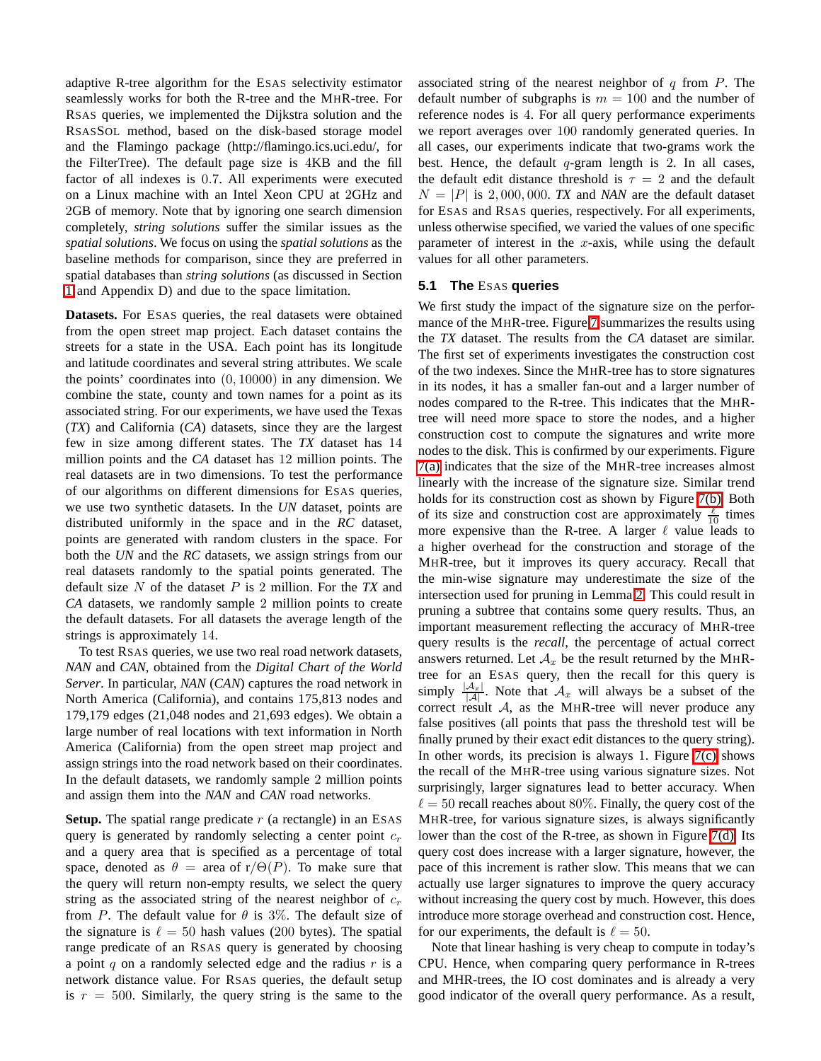adaptive R-tree algorithm for the ESAS selectivity estimator seamlessly works for both the R-tree and the MHR-tree. For RSAS queries, we implemented the Dijkstra solution and the RSASSOL method, based on the disk-based storage model and the Flamingo package (http://flamingo.ics.uci.edu/, for the FilterTree). The default page size is 4KB and the fill factor of all indexes is 0.7. All experiments were executed on a Linux machine with an Intel Xeon CPU at 2GHz and 2GB of memory. Note that by ignoring one search dimension completely, *string solutions* suffer the similar issues as the *spatial solutions*. We focus on using the *spatial solutions* as the baseline methods for comparison, since they are preferred in spatial databases than *string solutions* (as discussed in Section [1](#page--1-29) and Appendix D) and due to the space limitation.

**Datasets.** For ESAS queries, the real datasets were obtained from the open street map project. Each dataset contains the streets for a state in the USA. Each point has its longitude and latitude coordinates and several string attributes. We scale the points' coordinates into (0, 10000) in any dimension. We combine the state, county and town names for a point as its associated string. For our experiments, we have used the Texas (*TX*) and California (*CA*) datasets, since they are the largest few in size among different states. The *TX* dataset has 14 million points and the *CA* dataset has 12 million points. The real datasets are in two dimensions. To test the performance of our algorithms on different dimensions for ESAS queries, we use two synthetic datasets. In the *UN* dataset, points are distributed uniformly in the space and in the *RC* dataset, points are generated with random clusters in the space. For both the *UN* and the *RC* datasets, we assign strings from our real datasets randomly to the spatial points generated. The default size N of the dataset P is 2 million. For the *TX* and *CA* datasets, we randomly sample 2 million points to create the default datasets. For all datasets the average length of the strings is approximately 14.

To test RSAS queries, we use two real road network datasets, *NAN* and *CAN*, obtained from the *Digital Chart of the World Server*. In particular, *NAN* (*CAN*) captures the road network in North America (California), and contains 175,813 nodes and 179,179 edges (21,048 nodes and 21,693 edges). We obtain a large number of real locations with text information in North America (California) from the open street map project and assign strings into the road network based on their coordinates. In the default datasets, we randomly sample 2 million points and assign them into the *NAN* and *CAN* road networks.

**Setup.** The spatial range predicate r (a rectangle) in an ESAS query is generated by randomly selecting a center point  $c_r$ and a query area that is specified as a percentage of total space, denoted as  $\theta = \text{area of } r/\Theta(P)$ . To make sure that the query will return non-empty results, we select the query string as the associated string of the nearest neighbor of  $c_r$ from P. The default value for  $\theta$  is 3%. The default size of the signature is  $\ell = 50$  hash values (200 bytes). The spatial range predicate of an RSAS query is generated by choosing a point  $q$  on a randomly selected edge and the radius  $r$  is a network distance value. For RSAS queries, the default setup is  $r = 500$ . Similarly, the query string is the same to the associated string of the nearest neighbor of  $q$  from  $P$ . The default number of subgraphs is  $m = 100$  and the number of reference nodes is 4. For all query performance experiments we report averages over 100 randomly generated queries. In all cases, our experiments indicate that two-grams work the best. Hence, the default  $q$ -gram length is 2. In all cases, the default edit distance threshold is  $\tau = 2$  and the default  $N = |P|$  is 2,000,000. *TX* and *NAN* are the default dataset for ESAS and RSAS queries, respectively. For all experiments, unless otherwise specified, we varied the values of one specific parameter of interest in the  $x$ -axis, while using the default values for all other parameters.

## **5.1 The** ESAS **queries**

We first study the impact of the signature size on the performance of the MHR-tree. Figure [7](#page--1-30) summarizes the results using the *TX* dataset. The results from the *CA* dataset are similar. The first set of experiments investigates the construction cost of the two indexes. Since the MHR-tree has to store signatures in its nodes, it has a smaller fan-out and a larger number of nodes compared to the R-tree. This indicates that the MHRtree will need more space to store the nodes, and a higher construction cost to compute the signatures and write more nodes to the disk. This is confirmed by our experiments. Figure [7\(a\)](#page--1-31) indicates that the size of the MHR-tree increases almost linearly with the increase of the signature size. Similar trend holds for its construction cost as shown by Figure [7\(b\).](#page--1-32) Both of its size and construction cost are approximately  $\frac{\ell}{10}$  times more expensive than the R-tree. A larger  $\ell$  value leads to a higher overhead for the construction and storage of the MHR-tree, but it improves its query accuracy. Recall that the min-wise signature may underestimate the size of the intersection used for pruning in Lemma [2.](#page--1-12) This could result in pruning a subtree that contains some query results. Thus, an important measurement reflecting the accuracy of MHR-tree query results is the *recall*, the percentage of actual correct answers returned. Let  $A_x$  be the result returned by the MHRtree for an ESAS query, then the recall for this query is simply  $\frac{|A_x|}{|A|}$ . Note that  $A_x$  will always be a subset of the correct result  $A$ , as the MHR-tree will never produce any false positives (all points that pass the threshold test will be finally pruned by their exact edit distances to the query string). In other words, its precision is always 1. Figure  $7(c)$  shows the recall of the MHR-tree using various signature sizes. Not surprisingly, larger signatures lead to better accuracy. When  $\ell = 50$  recall reaches about 80%. Finally, the query cost of the MHR-tree, for various signature sizes, is always significantly lower than the cost of the R-tree, as shown in Figure [7\(d\).](#page--1-34) Its query cost does increase with a larger signature, however, the pace of this increment is rather slow. This means that we can actually use larger signatures to improve the query accuracy without increasing the query cost by much. However, this does introduce more storage overhead and construction cost. Hence, for our experiments, the default is  $\ell = 50$ .

Note that linear hashing is very cheap to compute in today's CPU. Hence, when comparing query performance in R-trees and MHR-trees, the IO cost dominates and is already a very good indicator of the overall query performance. As a result,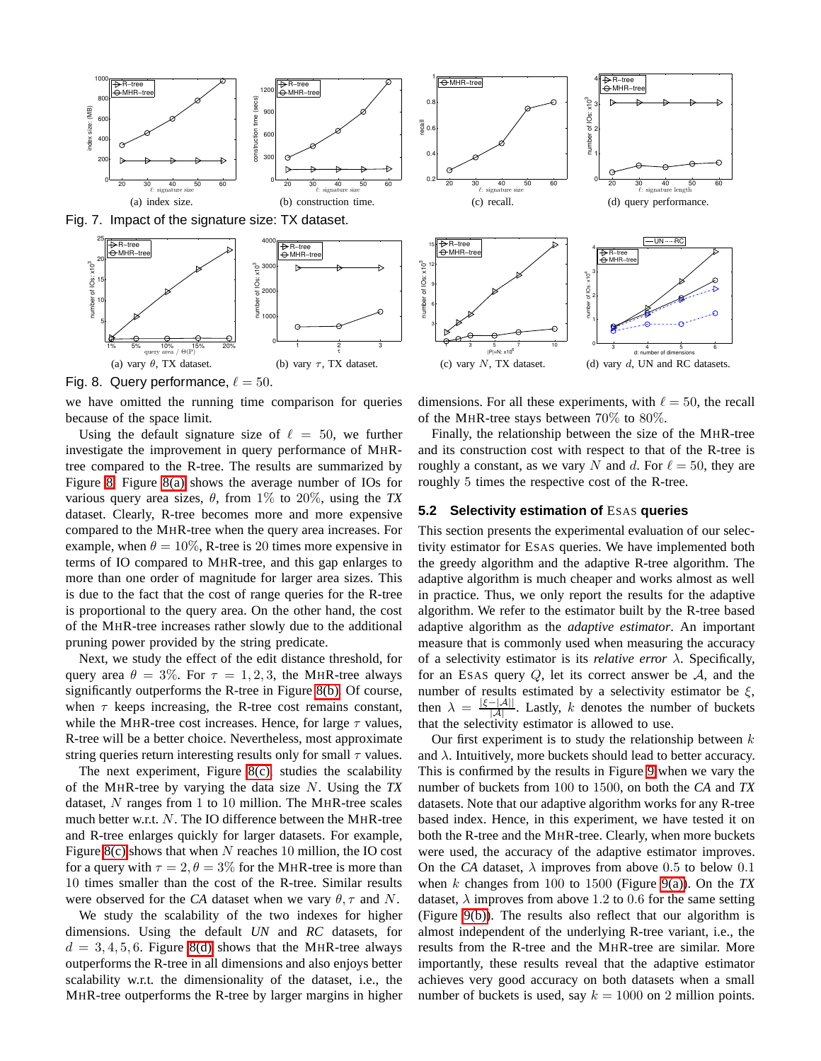



Fig. 8. Query performance,  $\ell = 50$ .

we have omitted the running time comparison for queries because of the space limit.

Using the default signature size of  $\ell = 50$ , we further investigate the improvement in query performance of MHRtree compared to the R-tree. The results are summarized by Figure [8.](#page--1-35) Figure [8\(a\)](#page--1-36) shows the average number of IOs for various query area sizes, θ, from 1% to 20%, using the *TX* dataset. Clearly, R-tree becomes more and more expensive compared to the MHR-tree when the query area increases. For example, when  $\theta = 10\%$ , R-tree is 20 times more expensive in terms of IO compared to MHR-tree, and this gap enlarges to more than one order of magnitude for larger area sizes. This is due to the fact that the cost of range queries for the R-tree is proportional to the query area. On the other hand, the cost of the MHR-tree increases rather slowly due to the additional pruning power provided by the string predicate.

Next, we study the effect of the edit distance threshold, for query area  $\theta = 3\%$ . For  $\tau = 1, 2, 3$ , the MHR-tree always significantly outperforms the R-tree in Figure [8\(b\).](#page--1-37) Of course, when  $\tau$  keeps increasing, the R-tree cost remains constant, while the MHR-tree cost increases. Hence, for large  $\tau$  values, R-tree will be a better choice. Nevertheless, most approximate string queries return interesting results only for small  $\tau$  values.

The next experiment, Figure [8\(c\),](#page--1-38) studies the scalability of the MHR-tree by varying the data size N. Using the *TX* dataset,  $N$  ranges from 1 to 10 million. The MHR-tree scales much better w.r.t.  $N$ . The IO difference between the MHR-tree and R-tree enlarges quickly for larger datasets. For example, Figure [8\(c\)](#page--1-38) shows that when N reaches 10 million, the IO cost for a query with  $\tau = 2, \theta = 3\%$  for the MHR-tree is more than 10 times smaller than the cost of the R-tree. Similar results were observed for the *CA* dataset when we vary  $\theta$ ,  $\tau$  and *N*.

We study the scalability of the two indexes for higher dimensions. Using the default *UN* and *RC* datasets, for  $d = 3, 4, 5, 6$ . Figure [8\(d\)](#page--1-39) shows that the MHR-tree always outperforms the R-tree in all dimensions and also enjoys better scalability w.r.t. the dimensionality of the dataset, i.e., the MHR-tree outperforms the R-tree by larger margins in higher



dimensions. For all these experiments, with  $\ell = 50$ , the recall of the MHR-tree stays between 70% to 80%.

Finally, the relationship between the size of the MHR-tree and its construction cost with respect to that of the R-tree is roughly a constant, as we vary N and d. For  $\ell = 50$ , they are roughly 5 times the respective cost of the R-tree.

#### **5.2 Selectivity estimation of** ESAS **queries**

This section presents the experimental evaluation of our selectivity estimator for ESAS queries. We have implemented both the greedy algorithm and the adaptive R-tree algorithm. The adaptive algorithm is much cheaper and works almost as well in practice. Thus, we only report the results for the adaptive algorithm. We refer to the estimator built by the R-tree based adaptive algorithm as the *adaptive estimator*. An important measure that is commonly used when measuring the accuracy of a selectivity estimator is its *relative error*  $\lambda$ . Specifically, for an ESAS query  $Q$ , let its correct answer be  $A$ , and the number of results estimated by a selectivity estimator be  $\xi$ , then  $\lambda =$  $\frac{|\xi-|A|}{|A|}$ . Lastly, k denotes the number of buckets that the selectivity estimator is allowed to use.

Our first experiment is to study the relationship between  $k$ and  $\lambda$ . Intuitively, more buckets should lead to better accuracy. This is confirmed by the results in Figure [9](#page--1-40) when we vary the number of buckets from 100 to 1500, on both the *CA* and *TX* datasets. Note that our adaptive algorithm works for any R-tree based index. Hence, in this experiment, we have tested it on both the R-tree and the MHR-tree. Clearly, when more buckets were used, the accuracy of the adaptive estimator improves. On the *CA* dataset,  $\lambda$  improves from above 0.5 to below 0.1 when k changes from 100 to 1500 (Figure [9\(a\)\)](#page--1-41). On the *TX* dataset,  $\lambda$  improves from above 1.2 to 0.6 for the same setting (Figure [9\(b\)\)](#page--1-42). The results also reflect that our algorithm is almost independent of the underlying R-tree variant, i.e., the results from the R-tree and the MHR-tree are similar. More importantly, these results reveal that the adaptive estimator achieves very good accuracy on both datasets when a small number of buckets is used, say  $k = 1000$  on 2 million points.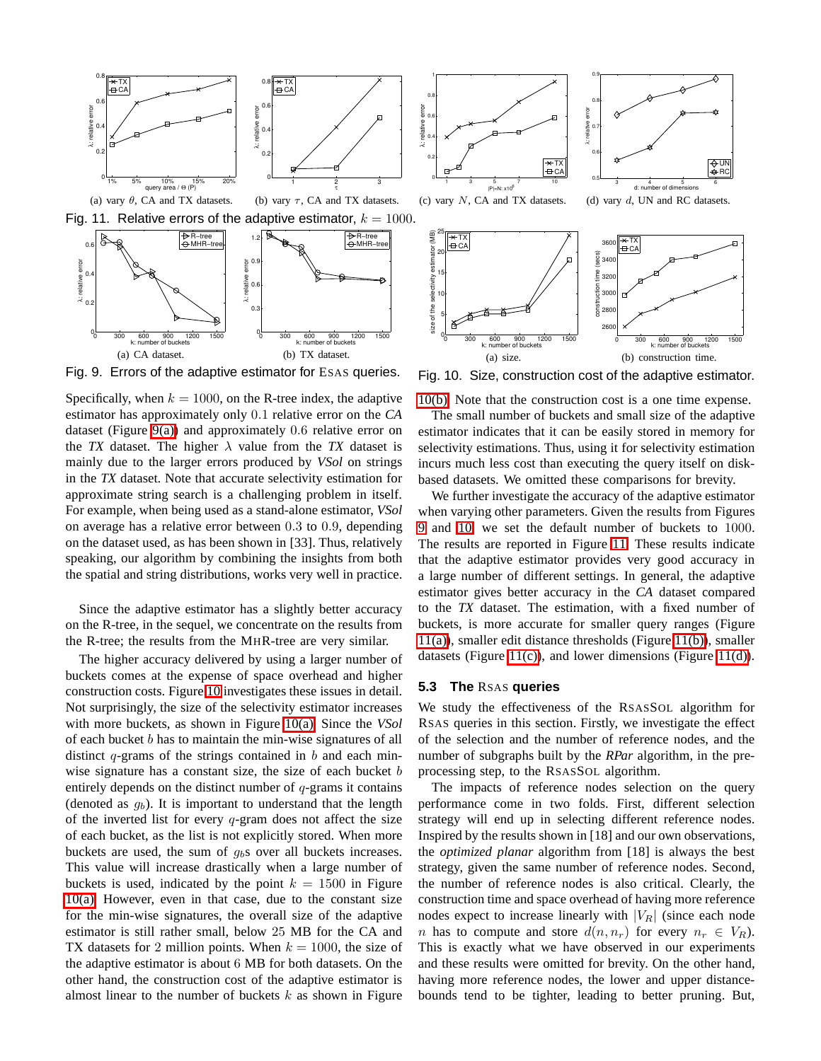



Fig. 9. Errors of the adaptive estimator for ESAS queries.

Specifically, when  $k = 1000$ , on the R-tree index, the adaptive estimator has approximately only 0.1 relative error on the *CA* dataset (Figure [9\(a\)\)](#page--1-41) and approximately 0.6 relative error on the *TX* dataset. The higher  $\lambda$  value from the *TX* dataset is mainly due to the larger errors produced by *VSol* on strings in the *TX* dataset. Note that accurate selectivity estimation for approximate string search is a challenging problem in itself. For example, when being used as a stand-alone estimator, *VSol* on average has a relative error between 0.3 to 0.9, depending on the dataset used, as has been shown in [33]. Thus, relatively speaking, our algorithm by combining the insights from both the spatial and string distributions, works very well in practice.

Since the adaptive estimator has a slightly better accuracy on the R-tree, in the sequel, we concentrate on the results from the R-tree; the results from the MHR-tree are very similar.

The higher accuracy delivered by using a larger number of buckets comes at the expense of space overhead and higher construction costs. Figure [10](#page--1-43) investigates these issues in detail. Not surprisingly, the size of the selectivity estimator increases with more buckets, as shown in Figure [10\(a\).](#page--1-44) Since the *VSol* of each bucket b has to maintain the min-wise signatures of all distinct  $q$ -grams of the strings contained in b and each minwise signature has a constant size, the size of each bucket  $b$ entirely depends on the distinct number of  $q$ -grams it contains (denoted as  $g<sub>b</sub>$ ). It is important to understand that the length of the inverted list for every  $q$ -gram does not affect the size of each bucket, as the list is not explicitly stored. When more buckets are used, the sum of  $q<sub>b</sub>$ s over all buckets increases. This value will increase drastically when a large number of buckets is used, indicated by the point  $k = 1500$  in Figure [10\(a\).](#page--1-44) However, even in that case, due to the constant size for the min-wise signatures, the overall size of the adaptive estimator is still rather small, below 25 MB for the CA and TX datasets for 2 million points. When  $k = 1000$ , the size of the adaptive estimator is about 6 MB for both datasets. On the other hand, the construction cost of the adaptive estimator is almost linear to the number of buckets  $k$  as shown in Figure

Fig. 10. Size, construction cost of the adaptive estimator.

(b) construction time.

[10\(b\).](#page--1-45) Note that the construction cost is a one time expense.

The small number of buckets and small size of the adaptive estimator indicates that it can be easily stored in memory for selectivity estimations. Thus, using it for selectivity estimation incurs much less cost than executing the query itself on diskbased datasets. We omitted these comparisons for brevity.

We further investigate the accuracy of the adaptive estimator when varying other parameters. Given the results from Figures [9](#page--1-40) and [10,](#page--1-43) we set the default number of buckets to 1000. The results are reported in Figure [11.](#page--1-46) These results indicate that the adaptive estimator provides very good accuracy in a large number of different settings. In general, the adaptive estimator gives better accuracy in the *CA* dataset compared to the *TX* dataset. The estimation, with a fixed number of buckets, is more accurate for smaller query ranges (Figure [11\(a\)\)](#page--1-31), smaller edit distance thresholds (Figure [11\(b\)\)](#page--1-47), smaller datasets (Figure [11\(c\)\)](#page--1-48), and lower dimensions (Figure [11\(d\)\)](#page--1-49).

## **5.3 The** RSAS **queries**

(a) size.

We study the effectiveness of the RSASSOL algorithm for RSAS queries in this section. Firstly, we investigate the effect of the selection and the number of reference nodes, and the number of subgraphs built by the *RPar* algorithm, in the preprocessing step, to the RSASSOL algorithm.

The impacts of reference nodes selection on the query performance come in two folds. First, different selection strategy will end up in selecting different reference nodes. Inspired by the results shown in [18] and our own observations, the *optimized planar* algorithm from [18] is always the best strategy, given the same number of reference nodes. Second, the number of reference nodes is also critical. Clearly, the construction time and space overhead of having more reference nodes expect to increase linearly with  $|V_R|$  (since each node n has to compute and store  $d(n, n_r)$  for every  $n_r \in V_R$ ). This is exactly what we have observed in our experiments and these results were omitted for brevity. On the other hand, having more reference nodes, the lower and upper distancebounds tend to be tighter, leading to better pruning. But,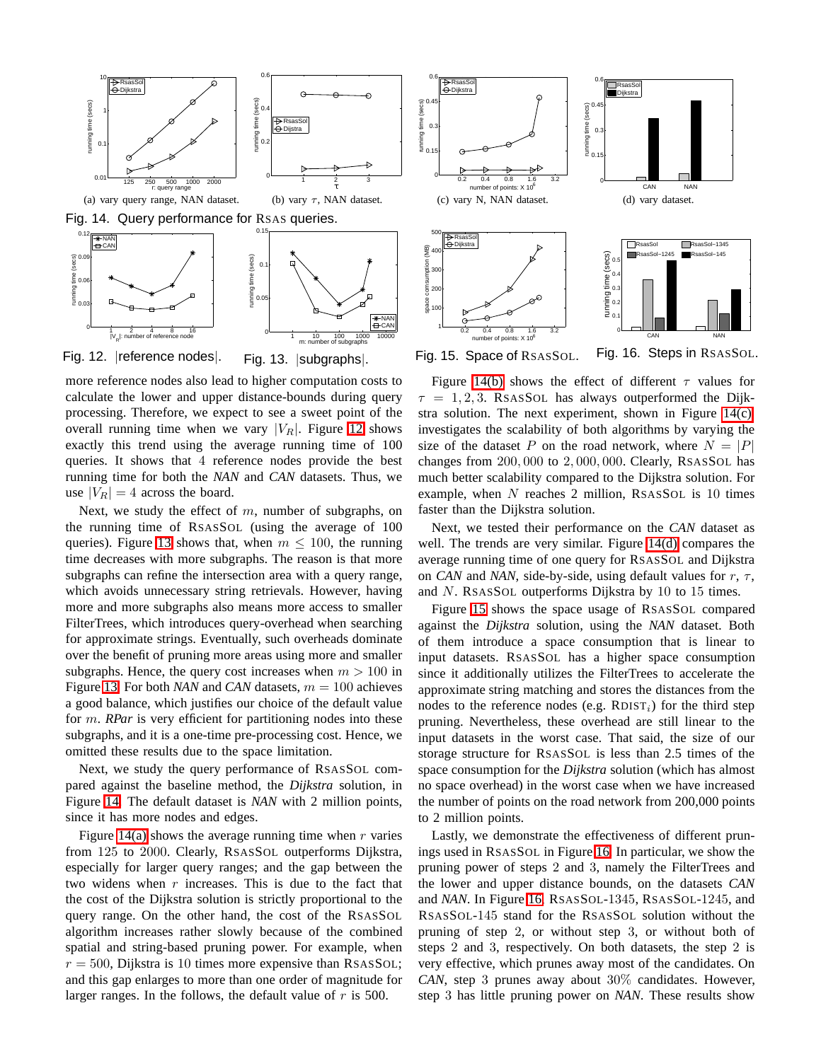

more reference nodes also lead to higher computation costs to calculate the lower and upper distance-bounds during query processing. Therefore, we expect to see a sweet point of the overall running time when we vary  $|V_R|$ . Figure [12](#page--1-50) shows exactly this trend using the average running time of 100 queries. It shows that 4 reference nodes provide the best running time for both the *NAN* and *CAN* datasets. Thus, we use  $|V_R| = 4$  across the board.

Next, we study the effect of  $m$ , number of subgraphs, on the running time of RSASSOL (using the average of 100 queries). Figure [13](#page--1-51) shows that, when  $m \le 100$ , the running time decreases with more subgraphs. The reason is that more subgraphs can refine the intersection area with a query range, which avoids unnecessary string retrievals. However, having more and more subgraphs also means more access to smaller FilterTrees, which introduces query-overhead when searching for approximate strings. Eventually, such overheads dominate over the benefit of pruning more areas using more and smaller subgraphs. Hence, the query cost increases when  $m > 100$  in Figure [13.](#page--1-51) For both *NAN* and *CAN* datasets,  $m = 100$  achieves a good balance, which justifies our choice of the default value for m. *RPar* is very efficient for partitioning nodes into these subgraphs, and it is a one-time pre-processing cost. Hence, we omitted these results due to the space limitation.

Next, we study the query performance of RSASSOL compared against the baseline method, the *Dijkstra* solution, in Figure [14.](#page--1-46) The default dataset is *NAN* with 2 million points, since it has more nodes and edges.

Figure [14\(a\)](#page--1-31) shows the average running time when  $r$  varies from 125 to 2000. Clearly, RSASSOL outperforms Dijkstra, especially for larger query ranges; and the gap between the two widens when  $r$  increases. This is due to the fact that the cost of the Dijkstra solution is strictly proportional to the query range. On the other hand, the cost of the RSASSOL algorithm increases rather slowly because of the combined spatial and string-based pruning power. For example, when  $r = 500$ , Dijkstra is 10 times more expensive than RSASSOL; and this gap enlarges to more than one order of magnitude for larger ranges. In the follows, the default value of  $r$  is 500.



Fig. 15. Space of RSASSOL. Fig. 16. Steps in RSASSOL.

Figure [14\(b\)](#page--1-47) shows the effect of different  $\tau$  values for  $\tau = 1, 2, 3$ . RSASSOL has always outperformed the Dijkstra solution. The next experiment, shown in Figure [14\(c\),](#page--1-48) investigates the scalability of both algorithms by varying the size of the dataset P on the road network, where  $N = |P|$ changes from 200, 000 to 2, 000, 000. Clearly, RSASSOL has much better scalability compared to the Dijkstra solution. For example, when  $N$  reaches 2 million, RSASSOL is 10 times faster than the Dijkstra solution.

Next, we tested their performance on the *CAN* dataset as well. The trends are very similar. Figure [14\(d\)](#page--1-49) compares the average running time of one query for RSASSOL and Dijkstra on *CAN* and *NAN*, side-by-side, using default values for  $r$ ,  $\tau$ , and N. RSASSOL outperforms Dijkstra by 10 to 15 times.

Figure [15](#page--1-52) shows the space usage of RSASSOL compared against the *Dijkstra* solution, using the *NAN* dataset. Both of them introduce a space consumption that is linear to input datasets. RSASSOL has a higher space consumption since it additionally utilizes the FilterTrees to accelerate the approximate string matching and stores the distances from the nodes to the reference nodes (e.g.  $RDIST_i$ ) for the third step pruning. Nevertheless, these overhead are still linear to the input datasets in the worst case. That said, the size of our storage structure for RSASSOL is less than 2.5 times of the space consumption for the *Dijkstra* solution (which has almost no space overhead) in the worst case when we have increased the number of points on the road network from 200,000 points to 2 million points.

Lastly, we demonstrate the effectiveness of different prunings used in RSASSOL in Figure [16.](#page--1-53) In particular, we show the pruning power of steps 2 and 3, namely the FilterTrees and the lower and upper distance bounds, on the datasets *CAN* and *NAN*. In Figure [16,](#page--1-53) RSASSOL-1345, RSASSOL-1245, and RSASSOL-145 stand for the RSASSOL solution without the pruning of step 2, or without step 3, or without both of steps 2 and 3, respectively. On both datasets, the step 2 is very effective, which prunes away most of the candidates. On *CAN*, step 3 prunes away about 30% candidates. However, step 3 has little pruning power on *NAN*. These results show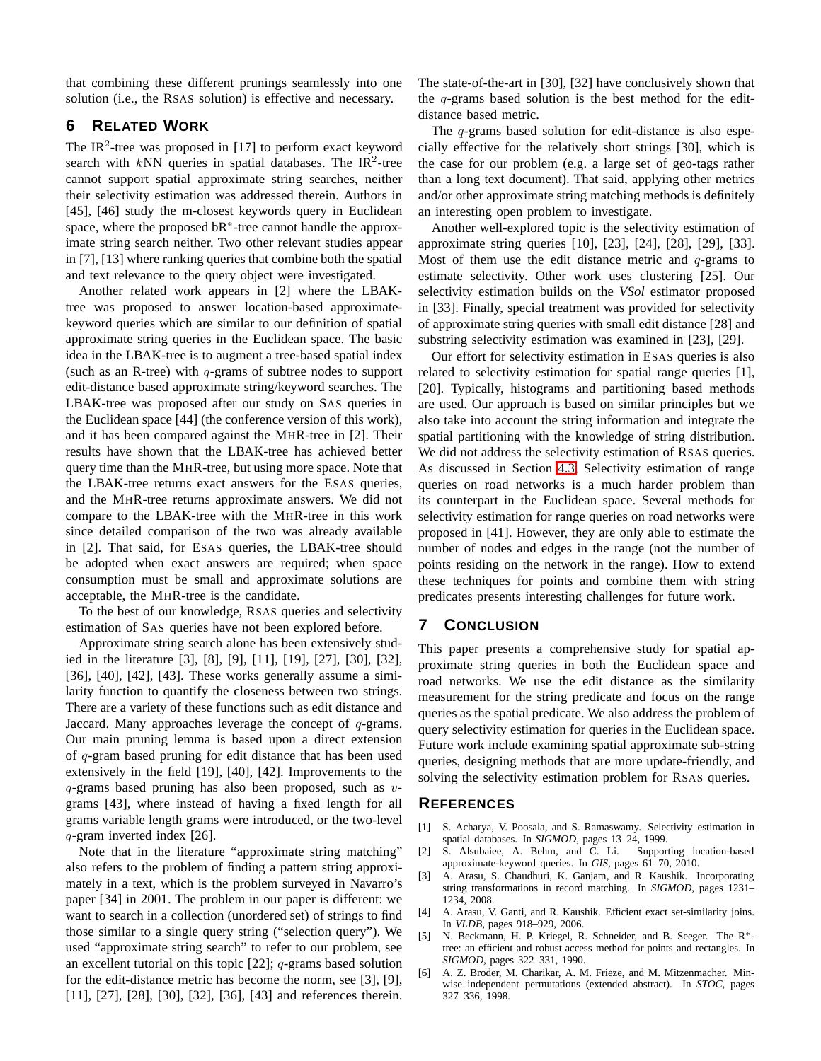that combining these different prunings seamlessly into one solution (i.e., the RSAS solution) is effective and necessary.

## **6 RELATED WORK**

The IR<sup>2</sup>-tree was proposed in [17] to perform exact keyword search with  $kNN$  queries in spatial databases. The IR<sup>2</sup>-tree cannot support spatial approximate string searches, neither their selectivity estimation was addressed therein. Authors in [45], [46] study the m-closest keywords query in Euclidean space, where the proposed bR<sup>∗</sup>-tree cannot handle the approximate string search neither. Two other relevant studies appear in [7], [13] where ranking queries that combine both the spatial and text relevance to the query object were investigated.

Another related work appears in [2] where the LBAKtree was proposed to answer location-based approximatekeyword queries which are similar to our definition of spatial approximate string queries in the Euclidean space. The basic idea in the LBAK-tree is to augment a tree-based spatial index (such as an R-tree) with  $q$ -grams of subtree nodes to support edit-distance based approximate string/keyword searches. The LBAK-tree was proposed after our study on SAS queries in the Euclidean space [44] (the conference version of this work), and it has been compared against the MHR-tree in [2]. Their results have shown that the LBAK-tree has achieved better query time than the MHR-tree, but using more space. Note that the LBAK-tree returns exact answers for the ESAS queries, and the MHR-tree returns approximate answers. We did not compare to the LBAK-tree with the MHR-tree in this work since detailed comparison of the two was already available in [2]. That said, for ESAS queries, the LBAK-tree should be adopted when exact answers are required; when space consumption must be small and approximate solutions are acceptable, the MHR-tree is the candidate.

To the best of our knowledge, RSAS queries and selectivity estimation of SAS queries have not been explored before.

Approximate string search alone has been extensively studied in the literature [3], [8], [9], [11], [19], [27], [30], [32], [36], [40], [42], [43]. These works generally assume a similarity function to quantify the closeness between two strings. There are a variety of these functions such as edit distance and Jaccard. Many approaches leverage the concept of  $q$ -grams. Our main pruning lemma is based upon a direct extension of q-gram based pruning for edit distance that has been used extensively in the field [19], [40], [42]. Improvements to the  $q$ -grams based pruning has also been proposed, such as  $v$ grams [43], where instead of having a fixed length for all grams variable length grams were introduced, or the two-level q-gram inverted index [26].

Note that in the literature "approximate string matching" also refers to the problem of finding a pattern string approximately in a text, which is the problem surveyed in Navarro's paper [34] in 2001. The problem in our paper is different: we want to search in a collection (unordered set) of strings to find those similar to a single query string ("selection query"). We used "approximate string search" to refer to our problem, see an excellent tutorial on this topic  $[22]$ ;  $q$ -grams based solution for the edit-distance metric has become the norm, see [3], [9], [11], [27], [28], [30], [32], [36], [43] and references therein. The state-of-the-art in [30], [32] have conclusively shown that the q-grams based solution is the best method for the editdistance based metric.

The  $q$ -grams based solution for edit-distance is also especially effective for the relatively short strings [30], which is the case for our problem (e.g. a large set of geo-tags rather than a long text document). That said, applying other metrics and/or other approximate string matching methods is definitely an interesting open problem to investigate.

Another well-explored topic is the selectivity estimation of approximate string queries [10], [23], [24], [28], [29], [33]. Most of them use the edit distance metric and  $q$ -grams to estimate selectivity. Other work uses clustering [25]. Our selectivity estimation builds on the *VSol* estimator proposed in [33]. Finally, special treatment was provided for selectivity of approximate string queries with small edit distance [28] and substring selectivity estimation was examined in [23], [29].

Our effort for selectivity estimation in ESAS queries is also related to selectivity estimation for spatial range queries [1], [20]. Typically, histograms and partitioning based methods are used. Our approach is based on similar principles but we also take into account the string information and integrate the spatial partitioning with the knowledge of string distribution. We did not address the selectivity estimation of RSAS queries. As discussed in Section [4.3,](#page--1-54) Selectivity estimation of range queries on road networks is a much harder problem than its counterpart in the Euclidean space. Several methods for selectivity estimation for range queries on road networks were proposed in [41]. However, they are only able to estimate the number of nodes and edges in the range (not the number of points residing on the network in the range). How to extend these techniques for points and combine them with string predicates presents interesting challenges for future work.

## **7 CONCLUSION**

This paper presents a comprehensive study for spatial approximate string queries in both the Euclidean space and road networks. We use the edit distance as the similarity measurement for the string predicate and focus on the range queries as the spatial predicate. We also address the problem of query selectivity estimation for queries in the Euclidean space. Future work include examining spatial approximate sub-string queries, designing methods that are more update-friendly, and solving the selectivity estimation problem for RSAS queries.

## **REFERENCES**

- [1] S. Acharya, V. Poosala, and S. Ramaswamy. Selectivity estimation in spatial databases. In *SIGMOD*, pages 13–24, 1999.
- [2] S. Alsubaiee, A. Behm, and C. Li. Supporting location-based approximate-keyword queries. In *GIS*, pages 61–70, 2010.
- [3] A. Arasu, S. Chaudhuri, K. Ganjam, and R. Kaushik. Incorporating string transformations in record matching. In *SIGMOD*, pages 1231– 1234, 2008.
- [4] A. Arasu, V. Ganti, and R. Kaushik. Efficient exact set-similarity joins. In *VLDB*, pages 918–929, 2006.
- [5] N. Beckmann, H. P. Kriegel, R. Schneider, and B. Seeger. The R∗ tree: an efficient and robust access method for points and rectangles. In *SIGMOD*, pages 322–331, 1990.
- [6] A. Z. Broder, M. Charikar, A. M. Frieze, and M. Mitzenmacher. Minwise independent permutations (extended abstract). In *STOC*, pages 327–336, 1998.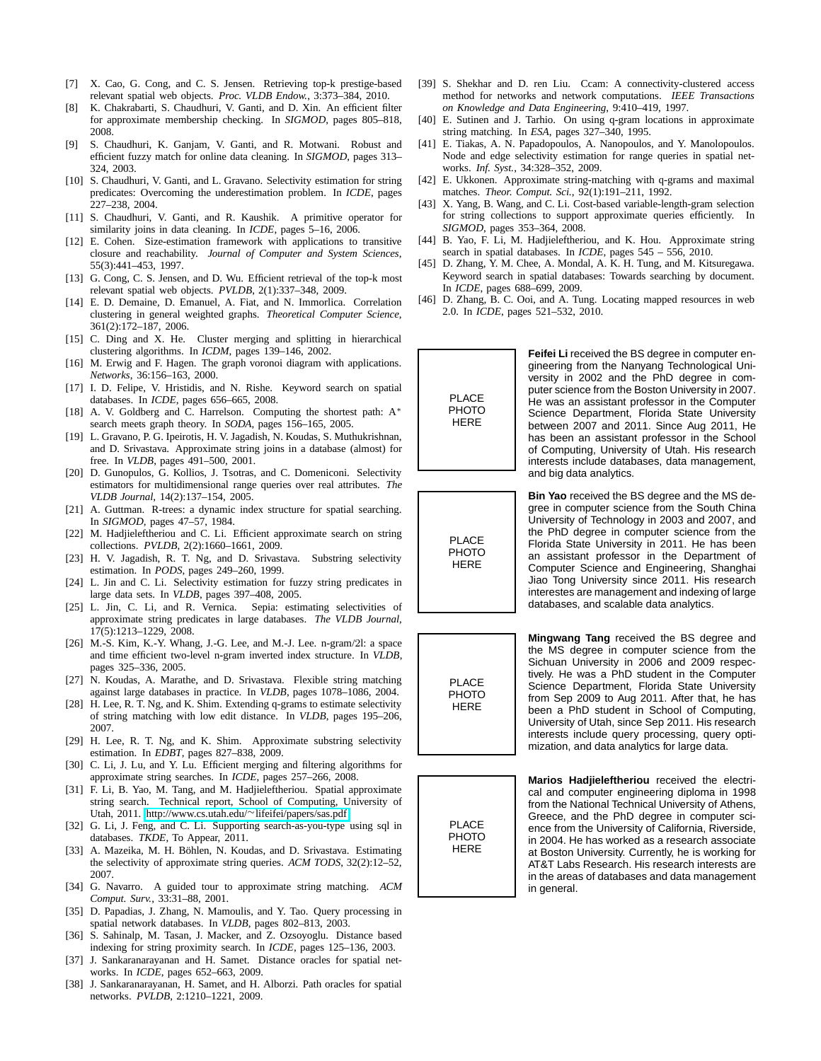- [7] X. Cao, G. Cong, and C. S. Jensen. Retrieving top-k prestige-based relevant spatial web objects. *Proc. VLDB Endow.*, 3:373–384, 2010.
- [8] K. Chakrabarti, S. Chaudhuri, V. Ganti, and D. Xin. An efficient filter for approximate membership checking. In *SIGMOD*, pages 805–818, 2008.
- [9] S. Chaudhuri, K. Ganjam, V. Ganti, and R. Motwani. Robust and efficient fuzzy match for online data cleaning. In *SIGMOD*, pages 313– 324, 2003.
- [10] S. Chaudhuri, V. Ganti, and L. Gravano. Selectivity estimation for string predicates: Overcoming the underestimation problem. In *ICDE*, pages 227–238, 2004.
- [11] S. Chaudhuri, V. Ganti, and R. Kaushik. A primitive operator for similarity joins in data cleaning. In *ICDE*, pages 5–16, 2006.
- [12] E. Cohen. Size-estimation framework with applications to transitive closure and reachability. *Journal of Computer and System Sciences*, 55(3):441–453, 1997.
- [13] G. Cong, C. S. Jensen, and D. Wu. Efficient retrieval of the top-k most relevant spatial web objects. *PVLDB*, 2(1):337–348, 2009.
- [14] E. D. Demaine, D. Emanuel, A. Fiat, and N. Immorlica. Correlation clustering in general weighted graphs. *Theoretical Computer Science*, 361(2):172–187, 2006.
- [15] C. Ding and X. He. Cluster merging and splitting in hierarchical clustering algorithms. In *ICDM*, pages 139–146, 2002.
- [16] M. Erwig and F. Hagen. The graph voronoi diagram with applications. *Networks*, 36:156–163, 2000.
- [17] I. D. Felipe, V. Hristidis, and N. Rishe. Keyword search on spatial databases. In *ICDE*, pages 656–665, 2008.
- [18] A. V. Goldberg and C. Harrelson. Computing the shortest path: A<sup>\*</sup> search meets graph theory. In *SODA*, pages 156–165, 2005.
- [19] L. Gravano, P. G. Ipeirotis, H. V. Jagadish, N. Koudas, S. Muthukrishnan, and D. Srivastava. Approximate string joins in a database (almost) for free. In *VLDB*, pages 491–500, 2001.
- [20] D. Gunopulos, G. Kollios, J. Tsotras, and C. Domeniconi. Selectivity estimators for multidimensional range queries over real attributes. *The VLDB Journal*, 14(2):137–154, 2005.
- [21] A. Guttman. R-trees: a dynamic index structure for spatial searching. In *SIGMOD*, pages 47–57, 1984.
- [22] M. Hadjieleftheriou and C. Li. Efficient approximate search on string collections. *PVLDB*, 2(2):1660–1661, 2009.
- [23] H. V. Jagadish, R. T. Ng, and D. Srivastava. Substring selectivity estimation. In *PODS*, pages 249–260, 1999.
- [24] L. Jin and C. Li. Selectivity estimation for fuzzy string predicates in large data sets. In *VLDB*, pages 397–408, 2005.
- [25] L. Jin, C. Li, and R. Vernica. Sepia: estimating selectivities of approximate string predicates in large databases. *The VLDB Journal*, 17(5):1213–1229, 2008.
- [26] M.-S. Kim, K.-Y. Whang, J.-G. Lee, and M.-J. Lee. n-gram/2l: a space and time efficient two-level n-gram inverted index structure. In *VLDB*, pages 325–336, 2005.
- [27] N. Koudas, A. Marathe, and D. Srivastava. Flexible string matching against large databases in practice. In *VLDB*, pages 1078–1086, 2004.
- [28] H. Lee, R. T. Ng, and K. Shim. Extending q-grams to estimate selectivity of string matching with low edit distance. In *VLDB*, pages 195–206, 2007.
- [29] H. Lee, R. T. Ng, and K. Shim. Approximate substring selectivity estimation. In *EDBT*, pages 827–838, 2009.
- [30] C. Li, J. Lu, and Y. Lu. Efficient merging and filtering algorithms for approximate string searches. In *ICDE*, pages 257–266, 2008.
- [31] F. Li, B. Yao, M. Tang, and M. Hadjieleftheriou. Spatial approximate string search. Technical report, School of Computing, University of Utah, 2011. [http://www.cs.utah.edu/](http://www.cs.utah.edu/~lifeifei/papers/sas.pdf)∼lifeifei/papers/sas.pdf.
- [32] G. Li, J. Feng, and C. Li. Supporting search-as-you-type using sql in databases. *TKDE*, To Appear, 2011.
- [33] A. Mazeika, M. H. Böhlen, N. Koudas, and D. Srivastava. Estimating the selectivity of approximate string queries. *ACM TODS*, 32(2):12–52, 2007.
- [34] G. Navarro. A guided tour to approximate string matching. *ACM Comput. Surv.*, 33:31–88, 2001.
- [35] D. Papadias, J. Zhang, N. Mamoulis, and Y. Tao. Query processing in spatial network databases. In *VLDB*, pages 802–813, 2003.
- [36] S. Sahinalp, M. Tasan, J. Macker, and Z. Ozsoyoglu. Distance based indexing for string proximity search. In *ICDE*, pages 125–136, 2003.
- [37] J. Sankaranarayanan and H. Samet. Distance oracles for spatial networks. In *ICDE*, pages 652–663, 2009.
- [38] J. Sankaranarayanan, H. Samet, and H. Alborzi. Path oracles for spatial networks. *PVLDB*, 2:1210–1221, 2009.
- [39] S. Shekhar and D. ren Liu. Ccam: A connectivity-clustered access method for networks and network computations. *IEEE Transactions on Knowledge and Data Engineering*, 9:410–419, 1997.
- [40] E. Sutinen and J. Tarhio. On using q-gram locations in approximate string matching. In *ESA*, pages 327–340, 1995.
- [41] E. Tiakas, A. N. Papadopoulos, A. Nanopoulos, and Y. Manolopoulos. Node and edge selectivity estimation for range queries in spatial networks. *Inf. Syst.*, 34:328–352, 2009.
- [42] E. Ukkonen. Approximate string-matching with q-grams and maximal matches. *Theor. Comput. Sci.*, 92(1):191–211, 1992.
- [43] X. Yang, B. Wang, and C. Li. Cost-based variable-length-gram selection for string collections to support approximate queries efficiently. In *SIGMOD*, pages 353–364, 2008.
- [44] B. Yao, F. Li, M. Hadjieleftheriou, and K. Hou. Approximate string search in spatial databases. In *ICDE*, pages 545 – 556, 2010.
- [45] D. Zhang, Y. M. Chee, A. Mondal, A. K. H. Tung, and M. Kitsuregawa. Keyword search in spatial databases: Towards searching by document. In *ICDE*, pages 688–699, 2009.
- [46] D. Zhang, B. C. Ooi, and A. Tung. Locating mapped resources in web 2.0. In *ICDE*, pages 521–532, 2010.



PLACE PHOTO HERE

**Feifei Li** received the BS degree in computer engineering from the Nanyang Technological University in 2002 and the PhD degree in computer science from the Boston University in 2007. He was an assistant professor in the Computer Science Department, Florida State University between 2007 and 2011. Since Aug 2011, He has been an assistant professor in the School of Computing, University of Utah. His research interests include databases, data management, and big data analytics.

**Bin Yao** received the BS degree and the MS degree in computer science from the South China University of Technology in 2003 and 2007, and the PhD degree in computer science from the Florida State University in 2011. He has been an assistant professor in the Department of Computer Science and Engineering, Shanghai Jiao Tong University since 2011. His research interestes are management and indexing of large databases, and scalable data analytics.



**Mingwang Tang** received the BS degree and the MS degree in computer science from the Sichuan University in 2006 and 2009 respectively. He was a PhD student in the Computer Science Department, Florida State University from Sep 2009 to Aug 2011. After that, he has been a PhD student in School of Computing, University of Utah, since Sep 2011. His research interests include query processing, query optimization, and data analytics for large data.



**Marios Hadjieleftheriou** received the electrical and computer engineering diploma in 1998 from the National Technical University of Athens, Greece, and the PhD degree in computer science from the University of California, Riverside, in 2004. He has worked as a research associate at Boston University. Currently, he is working for AT&T Labs Research. His research interests are in the areas of databases and data management in general.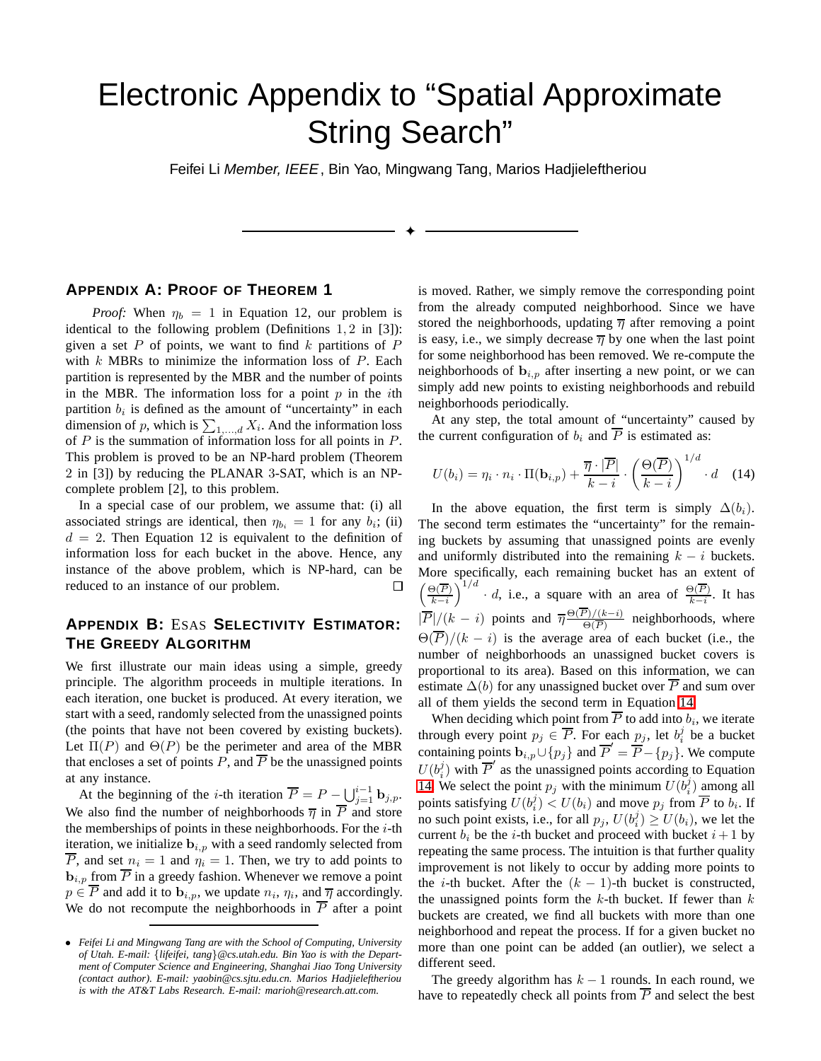# Electronic Appendix to "Spatial Approximate String Search"

Feifei Li Member, IEEE, Bin Yao, Mingwang Tang, Marios Hadjieleftheriou

✦

## **APPENDIX A: PROOF OF THEOREM 1**

*Proof:* When  $\eta_b = 1$  in Equation 12, our problem is identical to the following problem (Definitions 1, 2 in [3]): given a set  $P$  of points, we want to find  $k$  partitions of  $P$ with  $k$  MBRs to minimize the information loss of  $P$ . Each partition is represented by the MBR and the number of points in the MBR. The information loss for a point  $p$  in the *i*th partition  $b_i$  is defined as the amount of "uncertainty" in each dimension of p, which is  $\sum_{1,\dots,d} X_i$ . And the information loss of  $P$  is the summation of information loss for all points in  $P$ . This problem is proved to be an NP-hard problem (Theorem 2 in [3]) by reducing the PLANAR 3-SAT, which is an NPcomplete problem [2], to this problem.

In a special case of our problem, we assume that: (i) all associated strings are identical, then  $\eta_{b_i} = 1$  for any  $b_i$ ; (ii)  $d = 2$ . Then Equation 12 is equivalent to the definition of information loss for each bucket in the above. Hence, any instance of the above problem, which is NP-hard, can be reduced to an instance of our problem.

## **APPENDIX B:** ESAS **SELECTIVITY ESTIMATOR: THE GREEDY ALGORITHM**

We first illustrate our main ideas using a simple, greedy principle. The algorithm proceeds in multiple iterations. In each iteration, one bucket is produced. At every iteration, we start with a seed, randomly selected from the unassigned points (the points that have not been covered by existing buckets). Let  $\Pi(P)$  and  $\Theta(P)$  be the perimeter and area of the MBR that encloses a set of points P, and  $\overline{P}$  be the unassigned points at any instance.

At the beginning of the *i*-th iteration  $\overline{P} = P - \bigcup_{j=1}^{i-1} \mathbf{b}_{j,p}$ . We also find the number of neighborhoods  $\overline{\eta}$  in  $\overline{P}$  and store the memberships of points in these neighborhoods. For the  $i$ -th iteration, we initialize  $\mathbf{b}_{i,p}$  with a seed randomly selected from  $\overline{P}$ , and set  $n_i = 1$  and  $\eta_i = 1$ . Then, we try to add points to  $\mathbf{b}_{i,p}$  from  $\overline{P}$  in a greedy fashion. Whenever we remove a point  $p \in \overline{P}$  and add it to  $\mathbf{b}_{i,p}$ , we update  $n_i$ ,  $\eta_i$ , and  $\overline{\eta}$  accordingly. We do not recompute the neighborhoods in  $\overline{P}$  after a point is moved. Rather, we simply remove the corresponding point from the already computed neighborhood. Since we have stored the neighborhoods, updating  $\overline{\eta}$  after removing a point is easy, i.e., we simply decrease  $\overline{\eta}$  by one when the last point for some neighborhood has been removed. We re-compute the neighborhoods of  $\mathbf{b}_{i,p}$  after inserting a new point, or we can simply add new points to existing neighborhoods and rebuild neighborhoods periodically.

At any step, the total amount of "uncertainty" caused by the current configuration of  $b_i$  and  $\overline{P}$  is estimated as:

$$
U(b_i) = \eta_i \cdot n_i \cdot \Pi(\mathbf{b}_{i,p}) + \frac{\overline{\eta} \cdot |\overline{P}|}{k - i} \cdot \left(\frac{\Theta(\overline{P})}{k - i}\right)^{1/d} \cdot d \quad (14)
$$

In the above equation, the first term is simply  $\Delta(b_i)$ . The second term estimates the "uncertainty" for the remaining buckets by assuming that unassigned points are evenly and uniformly distributed into the remaining  $k - i$  buckets. More specifically, each remaining bucket has an extent of  $\left(\frac{\Theta(\overline{P})}{k-i}\right)^{1/d} \cdot d$ , i.e., a square with an area of  $\frac{\Theta(\overline{P})}{k-i}$ . It has  $|\overline{P}|/(k - i)$  points and  $\overline{\eta \frac{\Theta(\overline{P})/(k - i)}{\Theta(\overline{P})}}$  $\frac{\Theta(f(k-1))}{\Theta(\overline{P})}$  neighborhoods, where  $\Theta(\overline{P})/(k - i)$  is the average area of each bucket (i.e., the number of neighborhoods an unassigned bucket covers is proportional to its area). Based on this information, we can estimate  $\Delta(b)$  for any unassigned bucket over  $\overline{P}$  and sum over all of them yields the second term in Equation 14.

When deciding which point from  $P$  to add into  $b_i$ , we iterate through every point  $p_j \in \overline{P}$ . For each  $p_j$ , let  $b_i^j$  be a bucket containing points  $b_{i,p} \cup \{p_j\}$  and  $\overline{P}' = \overline{P} - \{p_j\}$ . We compute U(b<sub>i</sub>) with  $\overline{P}'$  as the unassigned points according to Equation 14. We select the point  $p_j$  with the minimum  $U(b_i^j)$  among all points satisfying  $U(b_i^j) < U(b_i)$  and move  $p_j$  from  $\overline{P}$  to  $b_i$ . If no such point exists, i.e., for all  $p_j$ ,  $U(b_i^j) \ge U(b_i)$ , we let the current  $b_i$  be the *i*-th bucket and proceed with bucket  $i+1$  by repeating the same process. The intuition is that further quality improvement is not likely to occur by adding more points to the *i*-th bucket. After the  $(k - 1)$ -th bucket is constructed, the unassigned points form the  $k$ -th bucket. If fewer than  $k$ buckets are created, we find all buckets with more than one neighborhood and repeat the process. If for a given bucket no more than one point can be added (an outlier), we select a different seed.

The greedy algorithm has  $k - 1$  rounds. In each round, we have to repeatedly check all points from  $\overline{P}$  and select the best

<sup>•</sup> *Feifei Li and Mingwang Tang are with the School of Computing, University of Utah. E-mail:* {*lifeifei, tang*}*@cs.utah.edu. Bin Yao is with the Department of Computer Science and Engineering, Shanghai Jiao Tong University (contact author). E-mail: yaobin@cs.sjtu.edu.cn. Marios Hadjieleftheriou is with the AT&T Labs Research. E-mail: marioh@research.att.com.*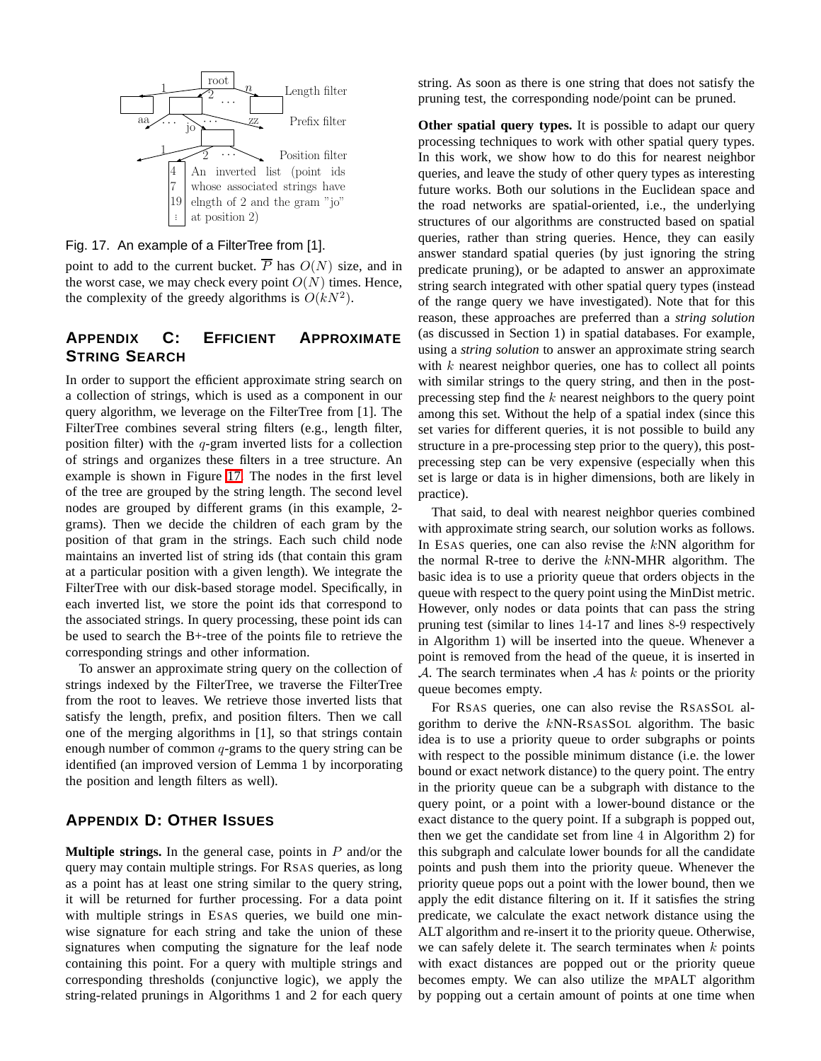

## Fig. 17. An example of a FilterTree from [1].

point to add to the current bucket.  $\overline{P}$  has  $O(N)$  size, and in the worst case, we may check every point  $O(N)$  times. Hence, the complexity of the greedy algorithms is  $O(kN^2)$ .

## **APPENDIX C: EFFICIENT APPROXIMATE STRING SEARCH**

In order to support the efficient approximate string search on a collection of strings, which is used as a component in our query algorithm, we leverage on the FilterTree from [1]. The FilterTree combines several string filters (e.g., length filter, position filter) with the  $q$ -gram inverted lists for a collection of strings and organizes these filters in a tree structure. An example is shown in Figure 17. The nodes in the first level of the tree are grouped by the string length. The second level nodes are grouped by different grams (in this example, 2 grams). Then we decide the children of each gram by the position of that gram in the strings. Each such child node maintains an inverted list of string ids (that contain this gram at a particular position with a given length). We integrate the FilterTree with our disk-based storage model. Specifically, in each inverted list, we store the point ids that correspond to the associated strings. In query processing, these point ids can be used to search the B+-tree of the points file to retrieve the corresponding strings and other information.

To answer an approximate string query on the collection of strings indexed by the FilterTree, we traverse the FilterTree from the root to leaves. We retrieve those inverted lists that satisfy the length, prefix, and position filters. Then we call one of the merging algorithms in [1], so that strings contain enough number of common  $q$ -grams to the query string can be identified (an improved version of Lemma 1 by incorporating the position and length filters as well).

## **APPENDIX D: OTHER ISSUES**

**Multiple strings.** In the general case, points in  $P$  and/or the query may contain multiple strings. For RSAS queries, as long as a point has at least one string similar to the query string, it will be returned for further processing. For a data point with multiple strings in ESAS queries, we build one minwise signature for each string and take the union of these signatures when computing the signature for the leaf node containing this point. For a query with multiple strings and corresponding thresholds (conjunctive logic), we apply the string-related prunings in Algorithms 1 and 2 for each query

string. As soon as there is one string that does not satisfy the pruning test, the corresponding node/point can be pruned.

**Other spatial query types.** It is possible to adapt our query processing techniques to work with other spatial query types. In this work, we show how to do this for nearest neighbor queries, and leave the study of other query types as interesting future works. Both our solutions in the Euclidean space and the road networks are spatial-oriented, i.e., the underlying structures of our algorithms are constructed based on spatial queries, rather than string queries. Hence, they can easily answer standard spatial queries (by just ignoring the string predicate pruning), or be adapted to answer an approximate string search integrated with other spatial query types (instead of the range query we have investigated). Note that for this reason, these approaches are preferred than a *string solution* (as discussed in Section 1) in spatial databases. For example, using a *string solution* to answer an approximate string search with  $k$  nearest neighbor queries, one has to collect all points with similar strings to the query string, and then in the postprecessing step find the  $k$  nearest neighbors to the query point among this set. Without the help of a spatial index (since this set varies for different queries, it is not possible to build any structure in a pre-processing step prior to the query), this postprecessing step can be very expensive (especially when this set is large or data is in higher dimensions, both are likely in practice).

That said, to deal with nearest neighbor queries combined with approximate string search, our solution works as follows. In ESAS queries, one can also revise the kNN algorithm for the normal R-tree to derive the kNN-MHR algorithm. The basic idea is to use a priority queue that orders objects in the queue with respect to the query point using the MinDist metric. However, only nodes or data points that can pass the string pruning test (similar to lines 14-17 and lines 8-9 respectively in Algorithm 1) will be inserted into the queue. Whenever a point is removed from the head of the queue, it is inserted in A. The search terminates when A has k points or the priority queue becomes empty.

For RSAS queries, one can also revise the RSASSOL algorithm to derive the kNN-RSASSOL algorithm. The basic idea is to use a priority queue to order subgraphs or points with respect to the possible minimum distance (i.e. the lower bound or exact network distance) to the query point. The entry in the priority queue can be a subgraph with distance to the query point, or a point with a lower-bound distance or the exact distance to the query point. If a subgraph is popped out, then we get the candidate set from line 4 in Algorithm 2) for this subgraph and calculate lower bounds for all the candidate points and push them into the priority queue. Whenever the priority queue pops out a point with the lower bound, then we apply the edit distance filtering on it. If it satisfies the string predicate, we calculate the exact network distance using the ALT algorithm and re-insert it to the priority queue. Otherwise, we can safely delete it. The search terminates when  $k$  points with exact distances are popped out or the priority queue becomes empty. We can also utilize the MPALT algorithm by popping out a certain amount of points at one time when